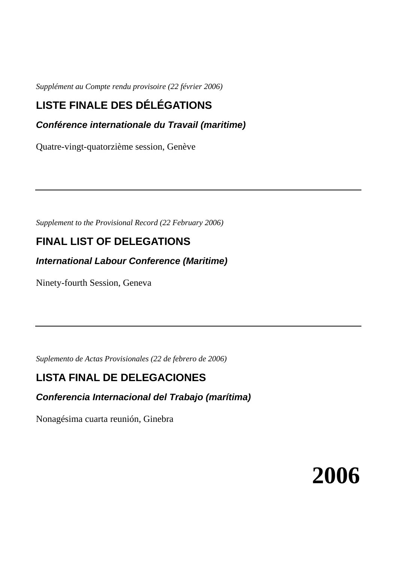*Supplément au Compte rendu provisoire (22 février 2006)* 

# **LISTE FINALE DES DÉLÉGATIONS**

**Conférence internationale du Travail (maritime)** 

Quatre-vingt-quatorzième session, Genève

*Supplement to the Provisional Record (22 February 2006)* 

# **FINAL LIST OF DELEGATIONS**

**International Labour Conference (Maritime)** 

Ninety-fourth Session, Geneva

*Suplemento de Actas Provisionales (22 de febrero de 2006)* 

# **LISTA FINAL DE DELEGACIONES**

**Conferencia Internacional del Trabajo (marítima)** 

Nonagésima cuarta reunión, Ginebra

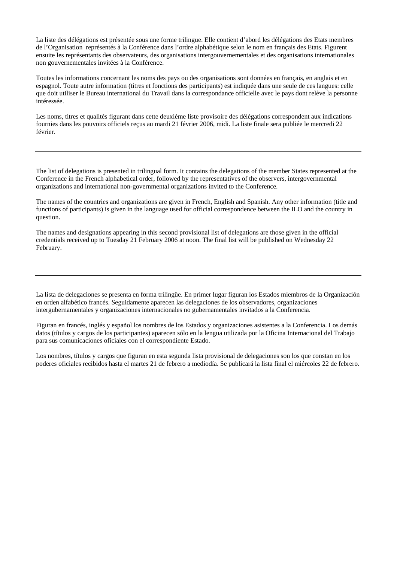La liste des délégations est présentée sous une forme trilingue. Elle contient d'abord les délégations des Etats membres de l'Organisation représentés à la Conférence dans l'ordre alphabétique selon le nom en français des Etats. Figurent ensuite les représentants des observateurs, des organisations intergouvernementales et des organisations internationales non gouvernementales invitées à la Conférence.

Toutes les informations concernant les noms des pays ou des organisations sont données en français, en anglais et en espagnol. Toute autre information (titres et fonctions des participants) est indiquée dans une seule de ces langues: celle que doit utiliser le Bureau international du Travail dans la correspondance officielle avec le pays dont relève la personne intéressée.

Les noms, titres et qualités figurant dans cette deuxième liste provisoire des délégations correspondent aux indications fournies dans les pouvoirs officiels reçus au mardi 21 février 2006, midi. La liste finale sera publiée le mercredi 22 février.

The list of delegations is presented in trilingual form. It contains the delegations of the member States represented at the Conference in the French alphabetical order, followed by the representatives of the observers, intergovernmental organizations and international non-governmental organizations invited to the Conference.

The names of the countries and organizations are given in French, English and Spanish. Any other information (title and functions of participants) is given in the language used for official correspondence between the ILO and the country in question.

The names and designations appearing in this second provisional list of delegations are those given in the official credentials received up to Tuesday 21 February 2006 at noon. The final list will be published on Wednesday 22 February.

La lista de delegaciones se presenta en forma trilingüe. En primer lugar figuran los Estados miembros de la Organización en orden alfabético francés. Seguidamente aparecen las delegaciones de los observadores, organizaciones intergubernamentales y organizaciones internacionales no gubernamentales invitados a la Conferencia.

Figuran en francés, inglés y español los nombres de los Estados y organizaciones asistentes a la Conferencia. Los demás datos (títulos y cargos de los participantes) aparecen sólo en la lengua utilizada por la Oficina Internacional del Trabajo para sus comunicaciones oficiales con el correspondiente Estado.

Los nombres, títulos y cargos que figuran en esta segunda lista provisional de delegaciones son los que constan en los poderes oficiales recibidos hasta el martes 21 de febrero a mediodía. Se publicará la lista final el miércoles 22 de febrero.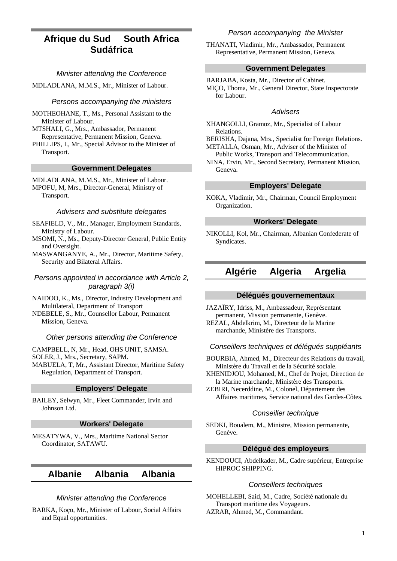# **Afrique du Sud South Africa Sudáfrica**

## Minister attending the Conference

MDLADLANA, M.M.S., Mr., Minister of Labour.

### Persons accompanying the ministers

MOTHEOHANE, T., Ms., Personal Assistant to the Minister of Labour.

MTSHALI, G., Mrs., Ambassador, Permanent Representative, Permanent Mission, Geneva.

PHILLIPS, I., Mr., Special Advisor to the Minister of Transport.

#### **Government Delegates**

MDLADLANA, M.M.S., Mr., Minister of Labour. MPOFU, M, Mrs., Director-General, Ministry of Transport.

#### Advisers and substitute delegates

SEAFIELD, V., Mr., Manager, Employment Standards, Ministry of Labour.

MSOMI, N., Ms., Deputy-Director General, Public Entity and Oversight.

MASWANGANYE, A., Mr., Director, Maritime Safety, Security and Bilateral Affairs.

Persons appointed in accordance with Article 2, paragraph 3(i)

NAIDOO, K., Ms., Director, Industry Development and Multilateral, Department of Transport

NDEBELE, S., Mr., Counsellor Labour, Permanent Mission, Geneva.

### Other persons attending the Conference

CAMPBELL, N, Mr., Head, OHS UNIT, SAMSA.

SOLER, J., Mrs., Secretary, SAPM.

MABUELA, T, Mr., Assistant Director, Maritime Safety Regulation, Department of Transport.

### **Employers' Delegate**

BAILEY, Selwyn, Mr., Fleet Commander, Irvin and Johnson Ltd.

## **Workers' Delegate**

MESATYWA, V., Mrs., Maritime National Sector Coordinator, SATAWU.

## **Albanie Albania Albania**

#### Minister attending the Conference

BARKA, Koço, Mr., Minister of Labour, Social Affairs and Equal opportunities.

## Person accompanying the Minister

THANATI, Vladimir, Mr., Ambassador, Permanent Representative, Permanent Mission, Geneva.

### **Government Delegates**

BARJABA, Kosta, Mr., Director of Cabinet. MIÇO, Thoma, Mr., General Director, State Inspectorate for Labour.

### Advisers

XHANGOLLI, Gramoz, Mr., Specialist of Labour Relations.

BERISHA, Dajana, Mrs., Specialist for Foreign Relations. METALLA, Osman, Mr., Adviser of the Minister of

Public Works, Transport and Telecommunication.

NINA, Ervin, Mr., Second Secretary, Permanent Mission, Geneva.

## **Employers' Delegate**

KOKA, Vladimir, Mr., Chairman, Council Employment Organization.

## **Workers' Delegate**

NIKOLLI, Kol, Mr., Chairman, Albanian Confederate of Syndicates.

## **Algérie Algeria Argelia**

### **Délégués gouvernementaux**

JAZAÏRY, Idriss, M., Ambassadeur, Représentant permanent, Mission permanente, Genève. REZAL, Abdelkrim, M., Directeur de la Marine

marchande, Ministère des Transports.

## Conseillers techniques et délégués suppléants

BOURBIA, Ahmed, M., Directeur des Relations du travail, Ministère du Travail et de la Sécurité sociale.

KHENIDJOU, Mohamed, M., Chef de Projet, Direction de la Marine marchande, Ministère des Transports.

ZEBIRI, Necerddine, M., Colonel, Département des Affaires maritimes, Service national des Gardes-Côtes.

#### Conseiller technique

SEDKI, Boualem, M., Ministre, Mission permanente, Genève.

#### **Délégué des employeurs**

KENDOUCI, Abdelkader, M., Cadre supérieur, Entreprise HIPROC SHIPPING.

## Conseillers techniques

MOHELLEBI, Said, M., Cadre, Société nationale du Transport maritime des Voyageurs. AZRAR, Ahmed, M., Commandant.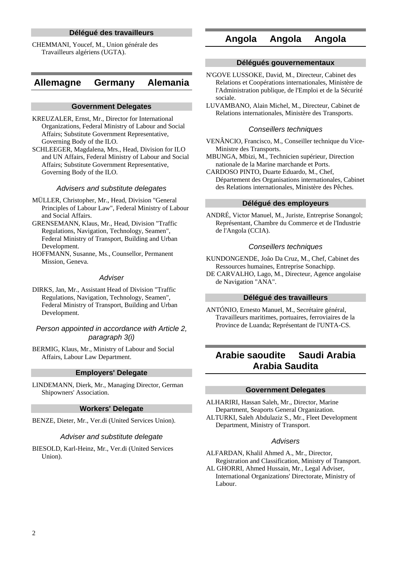## **Délégué des travailleurs**

CHEMMANI, Youcef, M., Union générale des Travailleurs algériens (UGTA).

## **Allemagne Germany Alemania**

#### **Government Delegates**

- KREUZALER, Ernst, Mr., Director for International Organizations, Federal Ministry of Labour and Social Affairs; Substitute Government Representative, Governing Body of the ILO.
- SCHLEEGER, Magdalena, Mrs., Head, Division for ILO and UN Affairs, Federal Ministry of Labour and Social Affairs; Substitute Government Representative, Governing Body of the ILO.

#### Advisers and substitute delegates

- MÜLLER, Christopher, Mr., Head, Division "General Principles of Labour Law", Federal Ministry of Labour and Social Affairs.
- GRENSEMANN, Klaus, Mr., Head, Division "Traffic Regulations, Navigation, Technology, Seamen", Federal Ministry of Transport, Building and Urban Development.
- HOFFMANN, Susanne, Ms., Counsellor, Permanent Mission, Geneva.

### **Adviser**

DIRKS, Jan, Mr., Assistant Head of Division "Traffic Regulations, Navigation, Technology, Seamen", Federal Ministry of Transport, Building and Urban Development.

Person appointed in accordance with Article 2, paragraph 3(i)

BERMIG, Klaus, Mr., Ministry of Labour and Social Affairs, Labour Law Department.

#### **Employers' Delegate**

LINDEMANN, Dierk, Mr., Managing Director, German Shipowners' Association.

## **Workers' Delegate**

BENZE, Dieter, Mr., Ver.di (United Services Union).

#### Adviser and substitute delegate

BIESOLD, Karl-Heinz, Mr., Ver.di (United Services Union).

## **Angola Angola Angola**

## **Délégués gouvernementaux**

- N'GOVE LUSSOKE, David, M., Directeur, Cabinet des Relations et Coopérations internationales, Ministère de l'Administration publique, de l'Emploi et de la Sécurité sociale.
- LUVAMBANO, Alain Michel, M., Directeur, Cabinet de Relations internationales, Ministère des Transports.

### Conseillers techniques

- VENÂNCIO, Francisco, M., Conseiller technique du Vice-Ministre des Transports.
- MBUNGA, Mbizi, M., Technicien supérieur, Direction nationale de la Marine marchande et Ports.
- CARDOSO PINTO, Duarte Eduardo, M., Chef, Département des Organisations internationales, Cabinet des Relations internationales, Ministère des Pêches.

### **Délégué des employeurs**

ANDRÉ, Victor Manuel, M., Juriste, Entreprise Sonangol; Représentant, Chambre du Commerce et de l'Industrie de l'Angola (CCIA).

#### Conseillers techniques

- KUNDONGENDE, Joâo Da Cruz, M., Chef, Cabinet des Ressources humaines, Entreprise Sonachipp.
- DE CARVALHO, Lago, M., Directeur, Agence angolaise de Navigation "ANA".

#### **Délégué des travailleurs**

ANTÓNIO, Ernesto Manuel, M., Secrétaire général, Travailleurs maritimes, portuaires, ferroviaires de la Province de Luanda; Représentant de l'UNTA-CS.

## **Arabie saoudite Saudi Arabia Arabia Saudita**

#### **Government Delegates**

ALHARIRI, Hassan Saleh, Mr., Director, Marine Department, Seaports General Organization. ALTURKI, Saleh Abdulaziz S., Mr., Fleet Development Department, Ministry of Transport.

#### Advisers

ALFARDAN, Khalil Ahmed A., Mr., Director, Registration and Classification, Ministry of Transport.

AL GHORRI, Ahmed Hussain, Mr., Legal Adviser, International Organizations' Directorate, Ministry of Labour.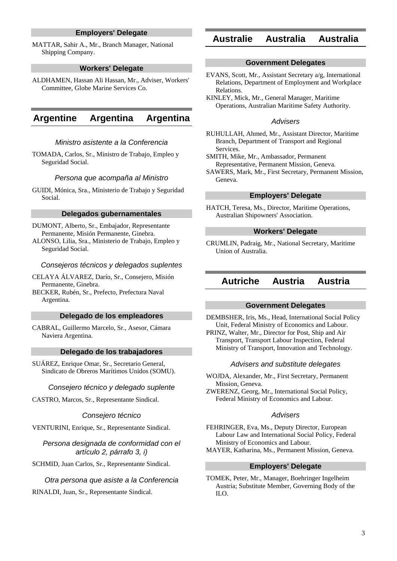## **Employers' Delegate**

MATTAR, Sahir A., Mr., Branch Manager, National Shipping Company.

#### **Workers' Delegate**

ALDHAMEN, Hassan Ali Hassan, Mr., Adviser, Workers' Committee, Globe Marine Services Co.

## **Argentine Argentina Argentina**

### Ministro asistente a la Conferencia

TOMADA, Carlos, Sr., Ministro de Trabajo, Empleo y Seguridad Social.

### Persona que acompaña al Ministro

GUIDI, Mónica, Sra., Ministerio de Trabajo y Seguridad Social.

#### **Delegados gubernamentales**

DUMONT, Alberto, Sr., Embajador, Representante Permanente, Misión Permanente, Ginebra.

ALONSO, Lilia, Sra., Ministerio de Trabajo, Empleo y Seguridad Social.

#### Consejeros técnicos y delegados suplentes

CELAYA ÁLVAREZ, Darío, Sr., Consejero, Misión Permanente, Ginebra.

BECKER, Rubén, Sr., Prefecto, Prefectura Naval Argentina.

#### **Delegado de los empleadores**

CABRAL, Guillermo Marcelo, Sr., Asesor, Cámara Naviera Argentina.

### **Delegado de los trabajadores**

SUÁREZ, Enrique Omar, Sr., Secretario General, Sindicato de Obreros Marítimos Unidos (SOMU).

#### Consejero técnico y delegado suplente

CASTRO, Marcos, Sr., Representante Sindical.

#### Consejero técnico

VENTURINI, Enrique, Sr., Representante Sindical.

Persona designada de conformidad con el artículo 2, párrafo 3, i)

SCHMID, Juan Carlos, Sr., Representante Sindical.

#### Otra persona que asiste a la Conferencia

RINALDI, Juan, Sr., Representante Sindical.

## **Australie Australia Australia**

### **Government Delegates**

- EVANS, Scott, Mr., Assistant Secretary a/g, International Relations, Department of Employment and Workplace Relations.
- KINLEY, Mick, Mr., General Manager, Maritime Operations, Australian Maritime Safety Authority.

#### **Advisers**

- RUHULLAH, Ahmed, Mr., Assistant Director, Maritime Branch, Department of Transport and Regional Services.
- SMITH, Mike, Mr., Ambassador, Permanent Representative, Permanent Mission, Geneva.
- SAWERS, Mark, Mr., First Secretary, Permanent Mission, Geneva.

## **Employers' Delegate**

HATCH, Teresa, Ms., Director, Maritime Operations, Australian Shipowners' Association.

## **Workers' Delegate**

CRUMLIN, Padraig, Mr., National Secretary, Maritime Union of Australia.

## **Autriche Austria Austria**

## **Government Delegates**

DEMBSHER, Iris, Ms., Head, International Social Policy Unit, Federal Ministry of Economics and Labour.

PRINZ, Walter, Mr., Director for Post, Ship and Air Transport, Transport Labour Inspection, Federal Ministry of Transport, Innovation and Technology.

#### Advisers and substitute delegates

- WOJDA, Alexander, Mr., First Secretary, Permanent Mission, Geneva.
- ZWERENZ, Georg, Mr., International Social Policy, Federal Ministry of Economics and Labour.

#### **Advisers**

FEHRINGER, Eva, Ms., Deputy Director, European Labour Law and International Social Policy, Federal Ministry of Economics and Labour.

MAYER, Katharina, Ms., Permanent Mission, Geneva.

## **Employers' Delegate**

TOMEK, Peter, Mr., Manager, Boehringer Ingelheim Austria; Substitute Member, Governing Body of the ILO.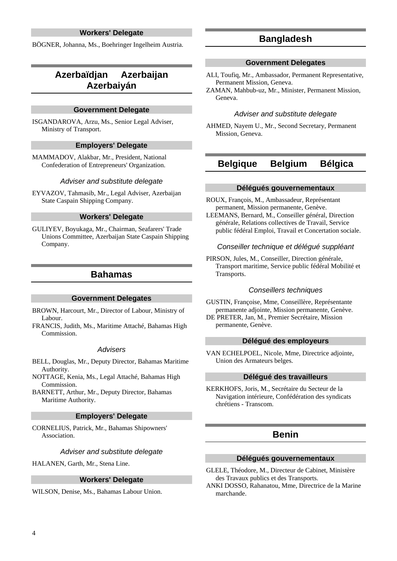## **Workers' Delegate**

BÖGNER, Johanna, Ms., Boehringer Ingelheim Austria.

## **Azerbaïdjan Azerbaijan Azerbaiyán**

### **Government Delegate**

ISGANDAROVA, Arzu, Ms., Senior Legal Adviser, Ministry of Transport.

## **Employers' Delegate**

MAMMADOV, Alakbar, Mr., President, National Confederation of Entrepreneurs' Organization.

#### Adviser and substitute delegate

EYVAZOV, Tahmasib, Mr., Legal Adviser, Azerbaijan State Caspain Shipping Company.

#### **Workers' Delegate**

GULIYEV, Boyukaga, Mr., Chairman, Seafarers' Trade Unions Committee, Azerbaijan State Caspain Shipping Company.

## **Bahamas**

#### **Government Delegates**

BROWN, Harcourt, Mr., Director of Labour, Ministry of Labour.

FRANCIS, Judith, Ms., Maritime Attaché, Bahamas High Commission.

### Advisers

- BELL, Douglas, Mr., Deputy Director, Bahamas Maritime Authority.
- NOTTAGE, Kenia, Ms., Legal Attaché, Bahamas High Commission.

BARNETT, Arthur, Mr., Deputy Director, Bahamas Maritime Authority.

#### **Employers' Delegate**

CORNELIUS, Patrick, Mr., Bahamas Shipowners' Association.

#### Adviser and substitute delegate

HALANEN, Garth, Mr., Stena Line.

## **Workers' Delegate**

WILSON, Denise, Ms., Bahamas Labour Union.

## **Bangladesh**

#### **Government Delegates**

- ALI, Toufiq, Mr., Ambassador, Permanent Representative, Permanent Mission, Geneva.
- ZAMAN, Mahbub-uz, Mr., Minister, Permanent Mission, Geneva.

#### Adviser and substitute delegate

AHMED, Nayem U., Mr., Second Secretary, Permanent Mission, Geneva.

## **Belgique Belgium Bélgica**

#### **Délégués gouvernementaux**

ROUX, François, M., Ambassadeur, Représentant permanent, Mission permanente, Genève.

LEEMANS, Bernard, M., Conseiller général, Direction générale, Relations collectives de Travail, Service public fédéral Emploi, Travail et Concertation sociale.

#### Conseiller technique et délégué suppléant

PIRSON, Jules, M., Conseiller, Direction générale, Transport maritime, Service public fédéral Mobilité et Transports.

### Conseillers techniques

GUSTIN, Françoise, Mme, Conseillère, Représentante permanente adjointe, Mission permanente, Genève.

DE PRETER, Jan, M., Premier Secrétaire, Mission permanente, Genève.

## **Délégué des employeurs**

VAN ECHELPOEL, Nicole, Mme, Directrice adjointe, Union des Armateurs belges.

#### **Délégué des travailleurs**

KERKHOFS, Joris, M., Secrétaire du Secteur de la Navigation intérieure, Confédération des syndicats chrétiens - Transcom.

## **Benin**

#### **Délégués gouvernementaux**

GLELE, Théodore, M., Directeur de Cabinet, Ministère des Travaux publics et des Transports.

ANKI DOSSO, Rahanatou, Mme, Directrice de la Marine marchande.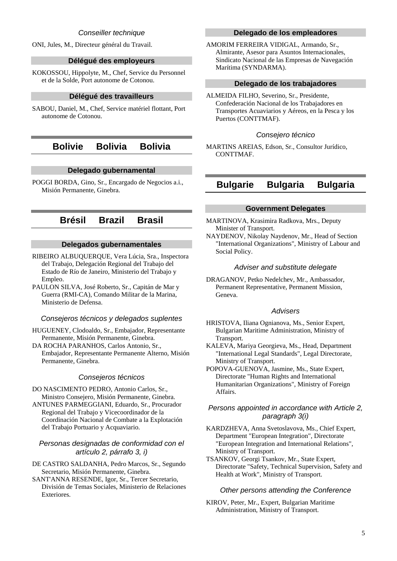## Conseiller technique

ONI, Jules, M., Directeur général du Travail.

#### **Délégué des employeurs**

KOKOSSOU, Hippolyte, M., Chef, Service du Personnel et de la Solde, Port autonome de Cotonou.

### **Délégué des travailleurs**

SABOU, Daniel, M., Chef, Service matériel flottant, Port autonome de Cotonou.

## **Bolivie Bolivia Bolivia**

#### **Delegado gubernamental**

POGGI BORDA, Gino, Sr., Encargado de Negocios a.i., Misión Permanente, Ginebra.

## **Brésil Brazil Brasil**

## **Delegados gubernamentales**

RIBEIRO ALBUQUERQUE, Vera Lúcia, Sra., Inspectora del Trabajo, Delegación Regional del Trabajo del Estado de Río de Janeiro, Ministerio del Trabajo y Empleo.

PAULON SILVA, José Roberto, Sr., Capitán de Mar y Guerra (RMI-CA), Comando Militar de la Marina, Ministerio de Defensa.

## Consejeros técnicos y delegados suplentes

HUGUENEY, Clodoaldo, Sr., Embajador, Representante Permanente, Misión Permanente, Ginebra.

DA ROCHA PARANHOS, Carlos Antonio, Sr., Embajador, Representante Permanente Alterno, Misión Permanente, Ginebra.

#### Consejeros técnicos

DO NASCIMENTO PEDRO, Antonio Carlos, Sr., Ministro Consejero, Misión Permanente, Ginebra.

ANTUNES PARMEGGIANI, Eduardo, Sr., Procurador Regional del Trabajo y Vicecoordinador de la Coordinación Nacional de Combate a la Explotación del Trabajo Portuario y Acquaviario.

## Personas designadas de conformidad con el artículo 2, párrafo 3, i)

DE CASTRO SALDANHA, Pedro Marcos, Sr., Segundo Secretario, Misión Permanente, Ginebra.

SANT'ANNA RESENDE, Igor, Sr., Tercer Secretario, División de Temas Sociales, Ministerio de Relaciones Exteriores.

## **Delegado de los empleadores**

AMORIM FERREIRA VIDIGAL, Armando, Sr., Almirante, Asesor para Asuntos Internacionales, Sindicato Nacional de las Empresas de Navegación Marítima (SYNDARMA).

## **Delegado de los trabajadores**

ALMEIDA FILHO, Severino, Sr., Presidente, Confederación Nacional de los Trabajadores en Transportes Acuaviarios y Aéreos, en la Pesca y los Puertos (CONTTMAF).

#### Consejero técnico

MARTINS AREIAS, Edson, Sr., Consultor Jurídico, CONTTMAF.

# **Bulgarie Bulgaria Bulgaria**

## **Government Delegates**

MARTINOVA, Krasimira Radkova, Mrs., Deputy Minister of Transport.

NAYDENOV, Nikolay Naydenov, Mr., Head of Section "International Organizations", Ministry of Labour and Social Policy.

## Adviser and substitute delegate

DRAGANOV, Petko Nedelchev, Mr., Ambassador, Permanent Representative, Permanent Mission, Geneva.

#### Advisers

HRISTOVA, Iliana Ognianova, Ms., Senior Expert, Bulgarian Maritime Administration, Ministry of Transport.

KALEVA, Mariya Georgieva, Ms., Head, Department "International Legal Standards", Legal Directorate, Ministry of Transport.

POPOVA-GUENOVA, Jasmine, Ms., State Expert, Directorate "Human Rights and International Humanitarian Organizations", Ministry of Foreign Affairs.

## Persons appointed in accordance with Article 2, paragraph 3(i)

KARDZHEVA, Anna Svetoslavova, Ms., Chief Expert, Department "European Integration", Directorate "European Integration and International Relations", Ministry of Transport.

TSANKOV, Georgi Tsankov, Mr., State Expert, Directorate "Safety, Technical Supervision, Safety and Health at Work", Ministry of Transport.

#### Other persons attending the Conference

KIROV, Peter, Mr., Expert, Bulgarian Maritime Administration, Ministry of Transport.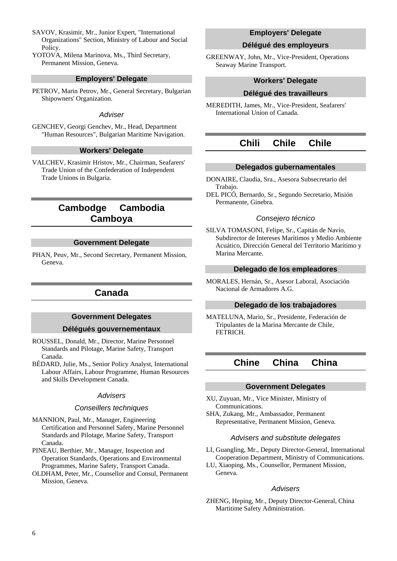- SAVOV, Krasimir, Mr., Junior Expert, "International Organizations" Section, Ministry of Labour and Social Policy.
- YOTOVA, Milena Marinova, Ms., Third Secretary, Permanent Mission, Geneva.

### **Employers' Delegate**

PETROV, Marin Petrov, Mr., General Secretary, Bulgarian Shipowners' Organization.

#### **Adviser**

GENCHEV, Georgi Genchev, Mr., Head, Department "Human Resources", Bulgarian Maritime Navigation.

## **Workers' Delegate**

VALCHEV, Krasimir Hristov, Mr., Chairman, Seafarers' Trade Union of the Confederation of Independent Trade Unions in Bulgaria.

## **Cambodge Cambodia Camboya**

#### **Government Delegate**

PHAN, Peuv, Mr., Second Secretary, Permanent Mission, Geneva.

## **Canada**

## **Government Delegates**

#### **Délégués gouvernementaux**

- ROUSSEL, Donald, Mr., Director, Marine Personnel Standards and Pilotage, Marine Safety, Transport Canada.
- BÉDARD, Julie, Ms., Senior Policy Analyst, International Labour Affairs, Labour Programme, Human Resources and Skills Development Canada.

#### **Advisers**

#### Conseillers techniques

- MANNION, Paul, Mr., Manager, Engineering Certification and Personnel Safety, Marine Personnel Standards and Pilotage, Marine Safety, Transport Canada.
- PINEAU, Berthier, Mr., Manager, Inspection and Operation Standards, Operations and Environmental Programmes, Marine Safety, Transport Canada.
- OLDHAM, Peter, Mr., Counsellor and Consul, Permanent Mission, Geneva.

### **Employers' Delegate**

#### **Délégué des employeurs**

GREENWAY, John, Mr., Vice-President, Operations Seaway Marine Transport.

### **Workers' Delegate**

#### **Délégué des travailleurs**

MEREDITH, James, Mr., Vice-President, Seafarers' International Union of Canada.

## **Chili Chile Chile**

## **Delegados gubernamentales**

- DONAIRE, Claudia, Sra., Asesora Subsecretario del Trabajo.
- DEL PICÓ, Bernardo, Sr., Segundo Secretario, Misión Permanente, Ginebra.

#### Consejero técnico

SILVA TOMASONI, Felipe, Sr., Capitán de Navío, Subdirector de Intereses Marítimos y Medio Ambiente Acuático, Dirección General del Territorio Marítimo y Marina Mercante.

#### **Delegado de los empleadores**

MORALES, Hernán, Sr., Asesor Laboral, Asociación Nacional de Armadores A.G.

## **Delegado de los trabajadores**

MATELUNA, Mario, Sr., Presidente, Federación de Tripulantes de la Marina Mercante de Chile, FETRICH.

## **Chine China China**

#### **Government Delegates**

- XU, Zuyuan, Mr., Vice Minister, Ministry of Communications.
- SHA, Zukang, Mr., Ambassador, Permanent Representative, Permanent Mission, Geneva.

#### Advisers and substitute delegates

- LI, Guangling, Mr., Deputy Director-General, International Cooperation Department, Ministry of Communications.
- LU, Xiaoping, Ms., Counsellor, Permanent Mission, Geneva.

#### **Advisers**

ZHENG, Heping, Mr., Deputy Director-General, China Martitime Safety Administration.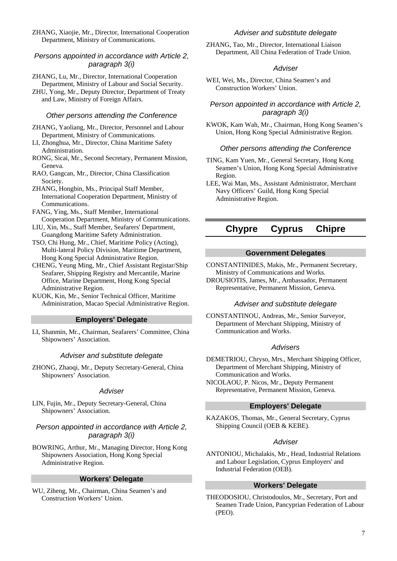ZHANG, Xiaojie, Mr., Director, International Cooperation Department, Ministry of Communications.

## Persons appointed in accordance with Article 2, paragraph 3(i)

ZHANG, Lu, Mr., Director, International Cooperation Department, Ministry of Labour and Social Security.

ZHU, Yong, Mr., Deputy Director, Department of Treaty and Law, Ministry of Foreign Affairs.

#### Other persons attending the Conference

ZHANG, Yaoliang, Mr., Director, Personnel and Labour Department, Ministry of Communications.

- LI, Zhonghua, Mr., Director, China Maritime Safety Administration.
- RONG, Sicai, Mr., Second Secretary, Permanent Mission, Geneva.
- RAO, Gangcan, Mr., Director, China Classification Society.
- ZHANG, Hongbin, Ms., Principal Staff Member, International Cooperation Department, Ministry of Communications.
- FANG, Ying, Ms., Staff Member, International Cooperation Department, Ministry of Communications.
- LIU, Xin, Ms., Staff Member, Seafarers' Department, Guangdong Maritime Safety Administration.
- TSO, Chi Hung, Mr., Chief, Maritime Policy (Acting), Multi-lateral Policy Division, Maritime Department, Hong Kong Special Administrative Region.
- CHENG, Yeung Ming, Mr., Chief Assistant Registar/Ship Seafarer, Shipping Registry and Mercantile, Marine Office, Marine Department, Hong Kong Special Administrative Region.
- KUOK, Kin, Mr., Senior Technical Officer, Maritime Administration, Macao Special Administrative Region.

#### **Employers' Delegate**

LI, Shanmin, Mr., Chairman, Seafarers' Committee, China Shipowners' Association.

#### Adviser and substitute delegate

ZHONG, Zhaoqi, Mr., Deputy Secretary-General, China Shipowners' Association.

#### **Adviser**

LIN, Fujin, Mr., Deputy Secretary-General, China Shipowners' Association.

## Person appointed in accordance with Article 2, paragraph 3(i)

BOWRING, Arthur, Mr., Managing Director, Hong Kong Shipowners Association, Hong Kong Special Administrative Region.

#### **Workers' Delegate**

WU, Ziheng, Mr., Chairman, China Seamen's and Construction Workers' Union.

#### Adviser and substitute delegate

ZHANG, Tao, Mr., Director, International Liaison Department, All China Federation of Trade Union.

#### **Adviser**

WEI, Wei, Ms., Director, China Seamen's and Construction Workers' Union.

## Person appointed in accordance with Article 2, paragraph 3(i)

KWOK, Kam Wah, Mr., Chairman, Hong Kong Seamen's Union, Hong Kong Special Administrative Region.

### Other persons attending the Conference

TING, Kam Yuen, Mr., General Secretary, Hong Kong Seamen's Union, Hong Kong Special Administrative Region.

LEE, Wai Man, Ms., Assistant Administrator, Merchant Navy Officers' Guild, Hong Kong Special Administrative Region.

## **Chypre Cyprus Chipre**

## **Government Delegates**

CONSTANTINIDES, Makis, Mr., Permanent Secretary, Ministry of Communications and Works.

DROUSIOTIS, James, Mr., Ambassador, Permanent Representative, Permanent Mission, Geneva.

## Adviser and substitute delegate

CONSTANTINOU, Andreas, Mr., Senior Surveyor, Department of Merchant Shipping, Ministry of Communication and Works.

## Advisers

DEMETRIOU, Chryso, Mrs., Merchant Shipping Officer, Department of Merchant Shipping, Ministry of Communication and Works.

NICOLAOU, P. Nicos, Mr., Deputy Permanent Representative, Permanent Mission, Geneva.

## **Employers' Delegate**

KAZAKOS, Thomas, Mr., General Secretary, Cyprus Shipping Council (OEB & KEBE).

### **Adviser**

ANTONIOU, Michalakis, Mr., Head, Industrial Relations and Labour Legislation, Cyprus Employers' and Industrial Federation (OEB).

### **Workers' Delegate**

THEODOSIOU, Christodoulos, Mr., Secretary, Port and Seamen Trade Union, Pancyprian Federation of Labour (PEO).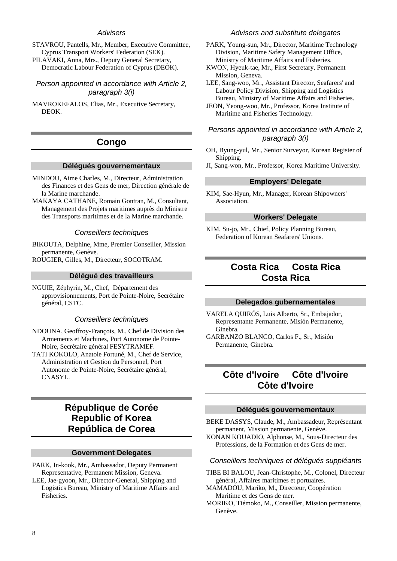## Advisers

STAVROU, Pantells, Mr., Member, Executive Committee, Cyprus Transport Workers' Federation (SEK).

PILAVAKI, Anna, Mrs., Deputy General Secretary, Democratic Labour Federation of Cyprus (DEOK).

Person appointed in accordance with Article 2, paragraph 3(i)

MAVROKEFALOS, Elias, Mr., Executive Secretary, DEOK.

## **Congo**

#### **Délégués gouvernementaux**

- MINDOU, Aime Charles, M., Directeur, Administration des Finances et des Gens de mer, Direction générale de la Marine marchande.
- MAKAYA CATHANE, Romain Gontran, M., Consultant, Management des Projets maritimes auprès du Ministre des Transports maritimes et de la Marine marchande.

#### Conseillers techniques

BIKOUTA, Delphine, Mme, Premier Conseiller, Mission permanente, Genève.

ROUGIER, Gilles, M., Directeur, SOCOTRAM.

#### **Délégué des travailleurs**

NGUIE, Zéphyrin, M., Chef, Département des approvisionnements, Port de Pointe-Noire, Secrétaire général, CSTC.

#### Conseillers techniques

- NDOUNA, Geoffroy-François, M., Chef de Division des Armements et Machines, Port Autonome de Pointe-Noire, Secrétaire général FESYTRAMEF.
- TATI KOKOLO, Anatole Fortuné, M., Chef de Service, Administration et Gestion du Personnel, Port Autonome de Pointe-Noire, Secrétaire général, CNASYL.

## **République de Corée Republic of Korea República de Corea**

### **Government Delegates**

- PARK, In-kook, Mr., Ambassador, Deputy Permanent Representative, Permanent Mission, Geneva.
- LEE, Jae-gyoon, Mr., Director-General, Shipping and Logistics Bureau, Ministry of Maritime Affairs and Fisheries.

#### Advisers and substitute delegates

- PARK, Young-sun, Mr., Director, Maritime Technology Division, Maritime Safety Management Office, Ministry of Maritime Affairs and Fisheries.
- KWON, Hyeuk-tae, Mr., First Secretary, Permanent Mission, Geneva.

LEE, Sang-woo, Mr., Assistant Director, Seafarers' and Labour Policy Division, Shipping and Logistics Bureau, Ministry of Maritime Affairs and Fisheries.

JEON, Yeong-woo, Mr., Professor, Korea Institute of Maritime and Fisheries Technology.

## Persons appointed in accordance with Article 2, paragraph 3(i)

- OH, Byung-yul, Mr., Senior Surveyor, Korean Register of Shipping.
- JI, Sang-won, Mr., Professor, Korea Maritime University.

#### **Employers' Delegate**

KIM, Sae-Hyun, Mr., Manager, Korean Shipowners' Association.

#### **Workers' Delegate**

KIM, Su-jo, Mr., Chief, Policy Planning Bureau, Federation of Korean Seafarers' Unions.

## **Costa Rica Costa Rica Costa Rica**

### **Delegados gubernamentales**

VARELA QUIRÓS, Luis Alberto, Sr., Embajador, Representante Permanente, Misión Permanente, Ginebra.

GARBANZO BLANCO, Carlos F., Sr., Misión Permanente, Ginebra.

## **Côte d'Ivoire Côte d'Ivoire Côte d'Ivoire**

#### **Délégués gouvernementaux**

BEKE DASSYS, Claude, M., Ambassadeur, Représentant permanent, Mission permanente, Genève.

KONAN KOUADIO, Alphonse, M., Sous-Directeur des Professions, de la Formation et des Gens de mer.

#### Conseillers techniques et délégués suppléants

- TIBE BI BALOU, Jean-Christophe, M., Colonel, Directeur général, Affaires maritimes et portuaires.
- MAMADOU, Mariko, M., Directeur, Coopération Maritime et des Gens de mer.
- MORIKO, Tiémoko, M., Conseiller, Mission permanente, Genève.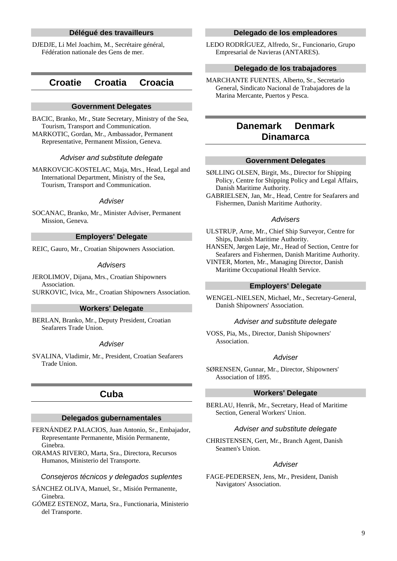## **Délégué des travailleurs**

DJEDJE, Li Mel Joachim, M., Secrétaire général, Fédération nationale des Gens de mer.

## **Croatie Croatia Croacia**

#### **Government Delegates**

BACIC, Branko, Mr., State Secretary, Ministry of the Sea, Tourism, Transport and Communication. MARKOTIC, Gordan, Mr., Ambassador, Permanent Representative, Permanent Mission, Geneva.

#### Adviser and substitute delegate

MARKOVCIC-KOSTELAC, Maja, Mrs., Head, Legal and International Department, Ministry of the Sea, Tourism, Transport and Communication.

#### Adviser

SOCANAC, Branko, Mr., Minister Adviser, Permanent Mission, Geneva.

## **Employers' Delegate**

REIC, Gauro, Mr., Croatian Shipowners Association.

#### **Advisers**

JEROLIMOV, Dijana, Mrs., Croatian Shipowners Association. SURKOVIC, Ivica, Mr., Croatian Shipowners Association.

### **Workers' Delegate**

BERLAN, Branko, Mr., Deputy President, Croatian Seafarers Trade Union.

#### **Adviser**

SVALINA, Vladimir, Mr., President, Croatian Seafarers Trade Union.

## **Cuba**

### **Delegados gubernamentales**

FERNÁNDEZ PALACIOS, Juan Antonio, Sr., Embajador, Representante Permanente, Misión Permanente, Ginebra.

ORAMAS RIVERO, Marta, Sra., Directora, Recursos Humanos, Ministerio del Transporte.

#### Consejeros técnicos y delegados suplentes

SÁNCHEZ OLIVA, Manuel, Sr., Misión Permanente, Ginebra.

GÓMEZ ESTENOZ, Marta, Sra., Functionaria, Ministerio del Transporte.

## **Delegado de los empleadores**

LEDO RODRÍGUEZ, Alfredo, Sr., Funcionario, Grupo Empresarial de Navieras (ANTARES).

#### **Delegado de los trabajadores**

MARCHANTE FUENTES, Alberto, Sr., Secretario General, Sindicato Nacional de Trabajadores de la Marina Mercante, Puertos y Pesca.

## **Danemark Denmark Dinamarca**

#### **Government Delegates**

SØLLING OLSEN, Birgit, Ms., Director for Shipping Policy, Centre for Shipping Policy and Legal Affairs, Danish Maritime Authority.

GABRIELSEN, Jan, Mr., Head, Centre for Seafarers and Fishermen, Danish Maritime Authority.

#### **Advisers**

ULSTRUP, Arne, Mr., Chief Ship Surveyor, Centre for Ships, Danish Maritime Authority.

HANSEN, Jørgen Løje, Mr., Head of Section, Centre for Seafarers and Fishermen, Danish Maritime Authority.

VINTER, Morten, Mr., Managing Director, Danish Maritime Occupational Health Service.

#### **Employers' Delegate**

WENGEL-NIELSEN, Michael, Mr., Secretary-General, Danish Shipowners' Association.

#### Adviser and substitute delegate

VOSS, Pia, Ms., Director, Danish Shipowners' Association.

#### **Adviser**

SØRENSEN, Gunnar, Mr., Director, Shipowners' Association of 1895.

## **Workers' Delegate**

BERLAU, Henrik, Mr., Secretary, Head of Maritime Section, General Workers' Union.

#### Adviser and substitute delegate

CHRISTENSEN, Gert, Mr., Branch Agent, Danish Seamen's Union.

### **Adviser**

FAGE-PEDERSEN, Jens, Mr., President, Danish Navigators' Association.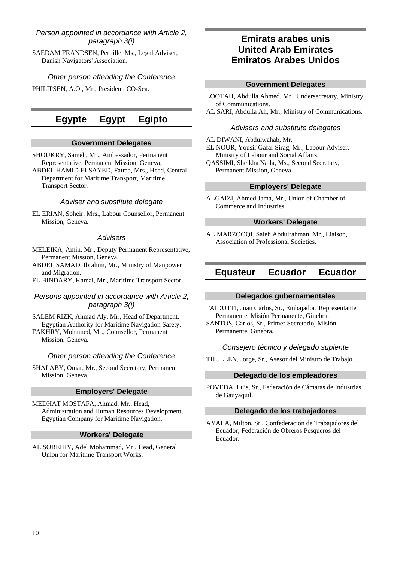## Person appointed in accordance with Article 2, paragraph 3(i)

SAEDAM FRANDSEN, Pernille, Ms., Legal Adviser, Danish Navigators' Association.

## Other person attending the Conference

PHILIPSEN, A.O., Mr., President, CO-Sea.

# **Egypte Egypt Egipto**

## **Government Delegates**

SHOUKRY, Sameh, Mr., Ambassador, Permanent Representative, Permanent Mission, Geneva.

ABDEL HAMID ELSAYED, Fatma, Mrs., Head, Central Department for Maritime Transport, Maritime Transport Sector.

### Adviser and substitute delegate

EL ERIAN, Soheir, Mrs., Labour Counsellor, Permanent Mission, Geneva.

#### **Advisers**

MELEIKA, Amin, Mr., Deputy Permanent Representative, Permanent Mission, Geneva.

- ABDEL SAMAD, Ibrahim, Mr., Ministry of Manpower and Migration.
- EL BINDARY, Kamal, Mr., Maritime Transport Sector.

## Persons appointed in accordance with Article 2, paragraph 3(i)

SALEM RIZK, Ahmad Aly, Mr., Head of Department, Egyptian Authority for Maritime Navigation Safety.

FAKHRY, Mohamed, Mr., Counsellor, Permanent Mission, Geneva.

#### Other person attending the Conference

SHALABY, Omar, Mr., Second Secretary, Permanent Mission, Geneva.

## **Employers' Delegate**

MEDHAT MOSTAFA, Ahmad, Mr., Head, Administration and Human Resources Development, Egyptian Company for Maritime Navigation.

#### **Workers' Delegate**

AL SOBEIHY, Adel Mohammad, Mr., Head, General Union for Maritime Transport Works.

## **Emirats arabes unis United Arab Emirates Emiratos Arabes Unidos**

## **Government Delegates**

LOOTAH, Abdulla Ahmed, Mr., Undersecretary, Ministry of Communications.

AL SARI, Abdulla Ali, Mr., Ministry of Communications.

### Advisers and substitute delegates

- AL DIWANI, Abdulwahab, Mr.
- EL NOUR, Yousif Gafar Sirag, Mr., Labour Adviser, Ministry of Labour and Social Affairs.
- QASSIMI, Sheikha Najla, Ms., Second Secretary, Permanent Mission, Geneva.

## **Employers' Delegate**

ALGAIZI, Ahmed Jama, Mr., Union of Chamber of Commerce and Industries.

## **Workers' Delegate**

AL MARZOOQI, Saleh Abdulrahman, Mr., Liaison, Association of Professional Societies.

## **Equateur Ecuador Ecuador**

### **Delegados gubernamentales**

FAIDUTTI, Juan Carlos, Sr., Embajador, Representante Permanente, Misión Permanente, Ginebra. SANTOS, Carlos, Sr., Primer Secretario, Misión Permanente, Ginebra.

### Consejero técnico y delegado suplente

THULLEN, Jorge, Sr., Asesor del Ministro de Trabajo.

#### **Delegado de los empleadores**

POVEDA, Luis, Sr., Federación de Cámaras de Industrias de Gauyaquil.

## **Delegado de los trabajadores**

AYALA, Milton, Sr., Confederación de Trabajadores del Ecuador; Federación de Obreros Pesqueros del Ecuador.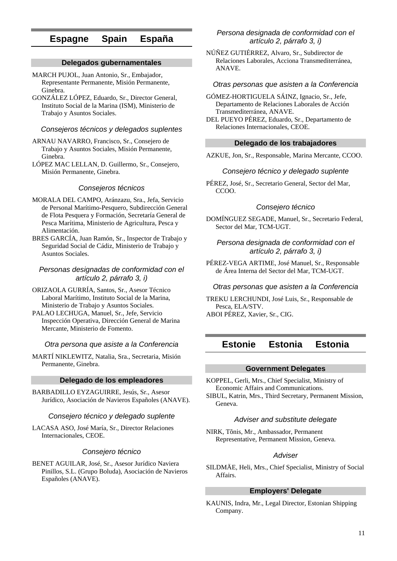## **Espagne Spain España**

## **Delegados gubernamentales**

- MARCH PUJOL, Juan Antonio, Sr., Embajador, Representante Permanente, Misión Permanente, Ginebra.
- GONZÁLEZ LÓPEZ, Eduardo, Sr., Director General, Instituto Social de la Marina (ISM), Ministerio de Trabajo y Asuntos Sociales.

### Consejeros técnicos y delegados suplentes

- ARNAU NAVARRO, Francisco, Sr., Consejero de Trabajo y Asuntos Sociales, Misión Permanente, Ginebra.
- LÓPEZ MAC LELLAN, D. Guillermo, Sr., Consejero, Misión Permanente, Ginebra.

#### Consejeros técnicos

- MORALA DEL CAMPO, Aránzazu, Sra., Jefa, Servicio de Personal Marítimo-Pesquero, Subdirección General de Flota Pesquera y Formación, Secretaría General de Pesca Marítima, Ministerio de Agricultura, Pesca y Alimentación.
- BRES GARCÍA, Juan Ramón, Sr., Inspector de Trabajo y Seguridad Social de Cádiz, Ministerio de Trabajo y Asuntos Sociales.

#### Personas designadas de conformidad con el artículo 2, párrafo 3, i)

- ORIZAOLA GURRÍA, Santos, Sr., Asesor Técnico Laboral Marítimo, Instituto Social de la Marina, Ministerio de Trabajo y Asuntos Sociales.
- PALAO LECHUGA, Manuel, Sr., Jefe, Servicio Inspección Operativa, Dirección General de Marina Mercante, Ministerio de Fomento.

#### Otra persona que asiste a la Conferencia

MARTÍ NIKLEWITZ, Natalia, Sra., Secretaria, Misión Permanente, Ginebra.

## **Delegado de los empleadores**

BARBADILLO EYZAGUIRRE, Jesús, Sr., Asesor Jurídico, Asociación de Navieros Españoles (ANAVE).

#### Consejero técnico y delegado suplente

LACASA ASO, José María, Sr., Director Relaciones Internacionales, CEOE.

#### Consejero técnico

BENET AGUILAR, José, Sr., Asesor Jurídico Naviera Pinillos, S.L. (Grupo Boluda), Asociación de Navieros Españoles (ANAVE).

## Persona designada de conformidad con el artículo 2, párrafo 3, i)

NÚÑEZ GUTIÉRREZ, Alvaro, Sr., Subdirector de Relaciones Laborales, Acciona Transmediterránea, ANAVE.

### Otras personas que asisten a la Conferencia

- GÓMEZ-HORTIGUELA SÁINZ, Ignacio, Sr., Jefe, Departamento de Relaciones Laborales de Acción Transmediterránea, ANAVE.
- DEL PUEYO PÉREZ, Eduardo, Sr., Departamento de Relaciones Internacionales, CEOE.

#### **Delegado de los trabajadores**

AZKUE, Jon, Sr., Responsable, Marina Mercante, CCOO.

## Consejero técnico y delegado suplente

PÉREZ, José, Sr., Secretario General, Sector del Mar, CCOO.

#### Consejero técnico

DOMÍNGUEZ SEGADE, Manuel, Sr., Secretario Federal, Sector del Mar, TCM-UGT.

Persona designada de conformidad con el artículo 2, párrafo 3, i)

PÉREZ-VEGA ARTIME, José Manuel, Sr., Responsable de Área Interna del Sector del Mar, TCM-UGT.

#### Otras personas que asisten a la Conferencia

TREKU LERCHUNDI, José Luis, Sr., Responsable de Pesca, ELA/STV. ABOI PÉREZ, Xavier, Sr., CIG.

## **Estonie Estonia Estonia**

### **Government Delegates**

KOPPEL, Gerli, Mrs., Chief Specialist, Ministry of Economic Affairs and Communications. SIBUL, Katrin, Mrs., Third Secretary, Permanent Mission, Geneva.

#### Adviser and substitute delegate

NIRK, Tõnis, Mr., Ambassador, Permanent Representative, Permanent Mission, Geneva.

#### **Adviser**

SILDMÄE, Heli, Mrs., Chief Specialist, Ministry of Social Affairs.

## **Employers' Delegate**

KAUNIS, Indra, Mr., Legal Director, Estonian Shipping Company.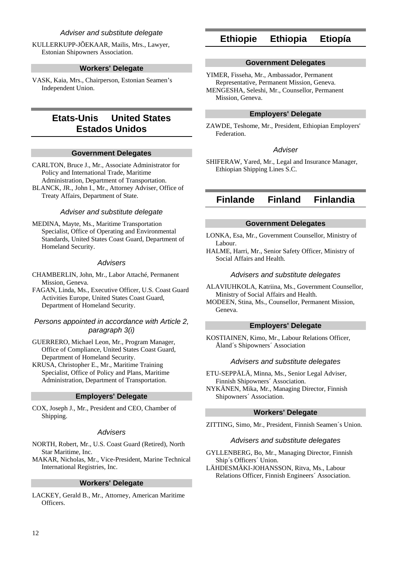## Adviser and substitute delegate

KULLERKUPP-JÕEKAAR, Mailis, Mrs., Lawyer, Estonian Shipowners Association.

#### **Workers' Delegate**

VASK, Kaia, Mrs., Chairperson, Estonian Seamen's Independent Union.

## **Etats-Unis United States Estados Unidos**

#### **Government Delegates**

CARLTON, Bruce J., Mr., Associate Administrator for Policy and International Trade, Maritime Administration, Department of Transportation.

BLANCK, JR., John I., Mr., Attorney Adviser, Office of Treaty Affairs, Department of State.

#### Adviser and substitute delegate

MEDINA, Mayte, Ms., Maritime Transportation Specialist, Office of Operating and Environmental Standards, United States Coast Guard, Department of Homeland Security.

#### Advisers

CHAMBERLIN, John, Mr., Labor Attaché, Permanent Mission, Geneva.

FAGAN, Linda, Ms., Executive Officer, U.S. Coast Guard Activities Europe, United States Coast Guard, Department of Homeland Security.

## Persons appointed in accordance with Article 2, paragraph 3(i)

GUERRERO, Michael Leon, Mr., Program Manager, Office of Compliance, United States Coast Guard, Department of Homeland Security.

KRUSA, Christopher E., Mr., Maritime Training Specialist, Office of Policy and Plans, Maritime Administration, Department of Transportation.

## **Employers' Delegate**

COX, Joseph J., Mr., President and CEO, Chamber of Shipping.

#### **Advisers**

- NORTH, Robert, Mr., U.S. Coast Guard (Retired), North Star Maritime, Inc.
- MAKAR, Nicholas, Mr., Vice-President, Marine Technical International Registries, Inc.

#### **Workers' Delegate**

LACKEY, Gerald B., Mr., Attorney, American Maritime Officers.

## **Ethiopie Ethiopia Etiopía**

#### **Government Delegates**

YIMER, Fisseha, Mr., Ambassador, Permanent Representative, Permanent Mission, Geneva. MENGESHA, Seleshi, Mr., Counsellor, Permanent Mission, Geneva.

## **Employers' Delegate**

ZAWDE, Teshome, Mr., President, Ethiopian Employers' Federation.

#### **Adviser**

SHIFERAW, Yared, Mr., Legal and Insurance Manager, Ethiopian Shipping Lines S.C.

## **Finlande Finland Finlandia**

#### **Government Delegates**

- LONKA, Esa, Mr., Government Counsellor, Ministry of Labour.
- HALME, Harri, Mr., Senior Safety Officer, Ministry of Social Affairs and Health.

#### Advisers and substitute delegates

ALAVIUHKOLA, Katriina, Ms., Government Counsellor, Ministry of Social Affairs and Health.

MODEEN, Stina, Ms., Counsellor, Permanent Mission, Geneva.

### **Employers' Delegate**

KOSTIAINEN, Kimo, Mr., Labour Relations Officer, Åland´s Shipowners´ Association

#### Advisers and substitute delegates

- ETU-SEPPÄLÄ, Minna, Ms., Senior Legal Adviser, Finnish Shipowners´ Association.
- NYKÄNEN, Mika, Mr., Managing Director, Finnish Shipowners´ Association.

## **Workers' Delegate**

ZITTING, Simo, Mr., President, Finnish Seamen´s Union.

#### Advisers and substitute delegates

GYLLENBERG, Bo, Mr., Managing Director, Finnish Ship´s Officers´ Union.

LÄHDESMÄKI-JOHANSSON, Ritva, Ms., Labour Relations Officer, Finnish Engineers´ Association.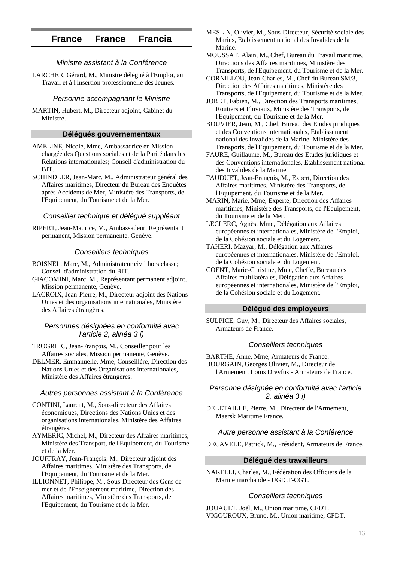## **France France Francia**

## Ministre assistant à la Conférence

LARCHER, Gérard, M., Ministre délégué à l'Emploi, au Travail et à l'Insertion professionnelle des Jeunes.

#### Personne accompagnant le Ministre

MARTIN, Hubert, M., Directeur adjoint, Cabinet du Ministre.

## **Délégués gouvernementaux**

- AMELINE, Nicole, Mme, Ambassadrice en Mission chargée des Questions sociales et de la Parité dans les Relations internationales; Conseil d'administration du BIT.
- SCHINDLER, Jean-Marc, M., Administrateur général des Affaires maritimes, Directeur du Bureau des Enquêtes après Accidents de Mer, Ministère des Transports, de l'Equipement, du Tourisme et de la Mer.

### Conseiller technique et délégué suppléant

RIPERT, Jean-Maurice, M., Ambassadeur, Représentant permanent, Mission permanente, Genève.

#### Conseillers techniques

- BOISNEL, Marc, M., Administrateur civil hors classe; Conseil d'administration du BIT.
- GIACOMINI, Marc, M., Représentant permanent adjoint, Mission permanente, Genève.
- LACROIX, Jean-Pierre, M., Directeur adjoint des Nations Unies et des organisations internationales, Ministère des Affaires étrangères.

## Personnes désignées en conformité avec l'article 2, alinéa 3 i)

TROGRLIC, Jean-François, M., Conseiller pour les Affaires sociales, Mission permanente, Genève.

DELMER, Emmanuelle, Mme, Conseillère, Direction des Nations Unies et des Organisations internationales, Ministère des Affaires étrangères.

#### Autres personnes assistant à la Conférence

- CONTINI, Laurent, M., Sous-directeur des Affaires économiques, Directions des Nations Unies et des organisations internationales, Ministère des Affaires étrangères.
- AYMERIC, Michel, M., Directeur des Affaires maritimes, Ministère des Transport, de l'Equipement, du Tourisme et de la Mer.
- JOUFFRAY, Jean-François, M., Directeur adjoint des Affaires maritimes, Ministère des Transports, de l'Equipement, du Tourisme et de la Mer.
- ILLIONNET, Philippe, M., Sous-Directeur des Gens de mer et de l'Enseignement maritime, Direction des Affaires maritimes, Ministère des Transports, de l'Equipement, du Tourisme et de la Mer.

MESLIN, Olivier, M., Sous-Directeur, Sécurité sociale des Marins, Etablissement national des Invalides de la Marine.

MOUSSAT, Alain, M., Chef, Bureau du Travail maritime, Directions des Affaires maritimes, Ministère des Transports, de l'Equipement, du Tourisme et de la Mer.

- CORNILLOU, Jean-Charles, M., Chef du Bureau SM/3, Direction des Affaires maritimes, Ministère des Transports, de l'Equipement, du Tourisme et de la Mer.
- JORET, Fabien, M., Direction des Transports maritimes, Routiers et Fluviaux, Ministère des Transports, de l'Equipement, du Tourisme et de la Mer.
- BOUVIER, Jean, M., Chef, Bureau des Etudes juridiques et des Conventions internationales, Etablissement national des Invalides de la Marine, Ministère des Transports, de l'Equipement, du Tourisme et de la Mer.
- FAURE, Guillaume, M., Bureau des Etudes juridiques et des Conventions internationales, Etablissement national des Invalides de la Marine.
- FAUDUET, Jean-François, M., Expert, Direction des Affaires maritimes, Ministère des Transports, de l'Equipement, du Tourisme et de la Mer.
- MARIN, Marie, Mme, Experte, Direction des Affaires maritimes, Ministère des Transports, de l'Equipement, du Tourisme et de la Mer.
- LECLERC, Agnès, Mme, Délégation aux Affaires européennes et internationales, Ministère de l'Emploi, de la Cohésion sociale et du Logement.
- TAHERI, Mazyar, M., Délégation aux Affaires européennes et internationales, Ministère de l'Emploi, de la Cohésion sociale et du Logement.
- COENT, Marie-Christine, Mme, Cheffe, Bureau des Affaires multilatérales, Délégation aux Affaires européennes et internationales, Ministère de l'Emploi, de la Cohésion sociale et du Logement.

#### **Délégué des employeurs**

SULPICE, Guy, M., Directeur des Affaires sociales, Armateurs de France.

#### Conseillers techniques

BARTHE, Anne, Mme, Armateurs de France. BOURGAIN, Georges Olivier, M., Directeur de l'Armement, Louis Dreyfus - Armateurs de France.

## Personne désignée en conformité avec l'article 2, alinéa 3 i)

DELETAILLE, Pierre, M., Directeur de l'Armement, Maersk Maritime France.

#### Autre personne assistant à la Conférence

DECAVELE, Patrick, M., Président, Armateurs de France.

#### **Délégué des travailleurs**

NARELLI, Charles, M., Fédération des Officiers de la Marine marchande - UGICT-CGT.

#### Conseillers techniques

JOUAULT, Joël, M., Union maritime, CFDT. VIGOUROUX, Bruno, M., Union maritime, CFDT.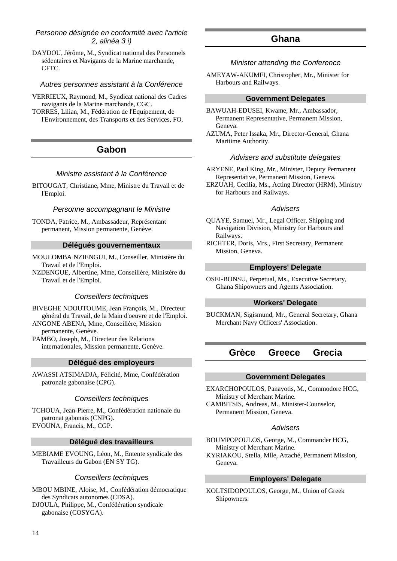## Personne désignée en conformité avec l'article 2, alinéa 3 i)

DAYDOU, Jérôme, M., Syndicat national des Personnels sédentaires et Navigants de la Marine marchande, CFTC.

## Autres personnes assistant à la Conférence

VERRIEUX, Raymond, M., Syndicat national des Cadres navigants de la Marine marchande, CGC.

TORRES, Lilian, M., Fédération de l'Equipement, de l'Environnement, des Transports et des Services, FO.

## **Gabon**

## Ministre assistant à la Conférence

BITOUGAT, Christiane, Mme, Ministre du Travail et de l'Emploi.

#### Personne accompagnant le Ministre

TONDA, Patrice, M., Ambassadeur, Représentant permanent, Mission permanente, Genève.

## **Délégués gouvernementaux**

- MOULOMBA NZIENGUI, M., Conseiller, Ministère du Travail et de l'Emploi.
- NZDENGUE, Albertine, Mme, Conseillère, Ministère du Travail et de l'Emploi.

## Conseillers techniques

BIVEGHE NDOUTOUME, Jean François, M., Directeur général du Travail, de la Main d'oeuvre et de l'Emploi. ANGONE ABENA, Mme, Conseillère, Mission

permanente, Genève. PAMBO, Joseph, M., Directeur des Relations

internationales, Mission permanente, Genève.

## **Délégué des employeurs**

AWASSI ATSIMADJA, Félicité, Mme, Confédération patronale gabonaise (CPG).

## Conseillers techniques

TCHOUA, Jean-Pierre, M., Confédération nationale du patronat gabonais (CNPG). EVOUNA, Francis, M., CGP.

#### **Délégué des travailleurs**

MEBIAME EVOUNG, Léon, M., Entente syndicale des Travailleurs du Gabon (EN SY TG).

#### Conseillers techniques

MBOU MBINE, Aloise, M., Confédération démocratique des Syndicats autonomes (CDSA). DJOULA, Philippe, M., Confédération syndicale gabonaise (COSYGA).

## **Ghana**

#### Minister attending the Conference

AMEYAW-AKUMFI, Christopher, Mr., Minister for Harbours and Railways.

#### **Government Delegates**

- BAWUAH-EDUSEI, Kwame, Mr., Ambassador, Permanent Representative, Permanent Mission, Geneva.
- AZUMA, Peter Issaka, Mr., Director-General, Ghana Maritime Authority.

### Advisers and substitute delegates

ARYENE, Paul King, Mr., Minister, Deputy Permanent Representative, Permanent Mission, Geneva.

ERZUAH, Cecilia, Ms., Acting Director (HRM), Ministry for Harbours and Railways.

#### Advisers

- QUAYE, Samuel, Mr., Legal Officer, Shipping and Navigation Division, Ministry for Harbours and Railways.
- RICHTER, Doris, Mrs., First Secretary, Permanent Mission, Geneva.

## **Employers' Delegate**

OSEI-BONSU, Perpetual, Ms., Executive Secretary, Ghana Shipowners and Agents Association.

## **Workers' Delegate**

BUCKMAN, Sigismund, Mr., General Secretary, Ghana Merchant Navy Officers' Association.

## **Grèce Greece Grecia**

#### **Government Delegates**

EXARCHOPOULOS, Panayotis, M., Commodore HCG, Ministry of Merchant Marine.

CAMBITSIS, Andreas, M., Minister-Counselor, Permanent Mission, Geneva.

#### Advisers

BOUMPOPOULOS, George, M., Commander HCG, Ministry of Merchant Marine.

KYRIAKOU, Stella, Mlle, Attaché, Permanent Mission, Geneva.

## **Employers' Delegate**

KOLTSIDOPOULOS, George, M., Union of Greek Shipowners.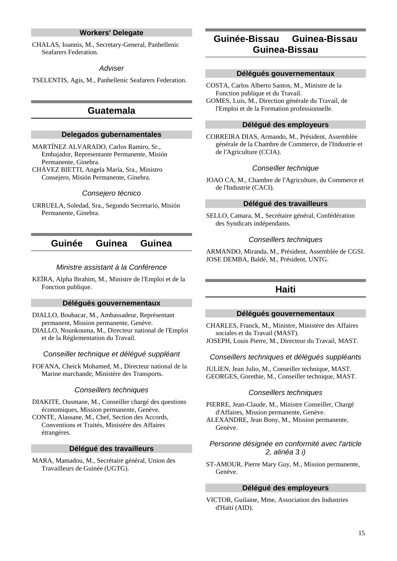## **Workers' Delegate**

CHALAS, Ioannis, M., Secretary-General, Panhellenic Seafarers Federation.

#### **Adviser**

TSELENTIS, Agis, M., Panhellenic Seafarers Federation.

## **Guatemala**

## **Delegados gubernamentales**

MARTÍNEZ ALVARADO, Carlos Ramiro, Sr., Embajador, Representante Permanente, Misión Permanente, Ginebra.

CHÁVEZ BIETTI, Angela María, Sra., Ministro Consejero, Misión Permanente, Ginebra.

#### Consejero técnico

URRUELA, Soledad, Sra., Segundo Secretario, Misión Permanente, Ginebra.

## **Guinée Guinea Guinea**

#### Ministre assistant à la Conférence

KEÏRA, Alpha Ibrahim, M., Ministre de l'Emploi et de la Fonction publique.

### **Délégués gouvernementaux**

- DIALLO, Boubacar, M., Ambassadeur, Représentant permanent, Mission permanente, Genève.
- DIALLO, Nounkouma, M., Directeur national de l'Emploi et de la Réglementation du Travail.

### Conseiller technique et délégué suppléant

FOFANA, Cheick Mohamed, M., Directeur national de la Marine marchande, Ministère des Transports.

#### Conseillers techniques

DIAKITE, Ousmane, M., Conseiller chargé des questions économiques, Mission permanente, Genève.

CONTE, Alassane, M., Chef, Section des Accords, Conventions et Traités, Ministère des Affaires étrangères.

#### **Délégué des travailleurs**

MARA, Mamadou, M., Secrétaire général, Union des Travailleurs de Guinée (UGTG).

## **Guinée-Bissau Guinea-Bissau Guinea-Bissau**

#### **Délégués gouvernementaux**

COSTA, Carlos Alberto Santos, M., Ministre de la Fonction publique et du Travail. GOMES, Luis, M., Direction générale du Travail, de l'Emploi et de la Formation professionnelle.

### **Délégué des employeurs**

CORREIRA DIAS, Armando, M., Président, Assemblée générale de la Chambre de Commerce, de l'Industrie et de l'Agriculture (CCIA).

#### Conseiller technique

JOAO CA, M., Chambre de l'Agriculture, du Commerce et de l'Industrie (CACI).

### **Délégué des travailleurs**

SELLO, Camara, M., Secrétaire général, Confédération des Syndicats indépendants.

#### Conseillers techniques

ARMANDO, Miranda, M., Président, Assemblée de CGSI. JOSE DEMBA, Baldé, M., Président, UNTG.

## **Haiti**

#### **Délégués gouvernementaux**

CHARLES, Franck, M., Ministre, Ministère des Affaires sociales et du Travail (MAST).

JOSEPH, Louis Pierre, M., Directeur du Travail, MAST.

### Conseillers techniques et délégués suppléants

JULIEN, Jean Julio, M., Conseiller technique, MAST. GEORGES, Gorethie, M., Conseiller technique, MAST.

#### Conseillers techniques

PIERRE, Jean-Claude, M., Ministre Conseiller, Chargé d'Affaires, Mission permanente, Genève.

ALEXANDRE, Jean Bony, M., Mission permanente, Genève.

## Personne désignée en conformité avec l'article 2, alinéa 3 i)

ST-AMOUR, Pierre Mary Guy, M., Mission permanente, Genève.

## **Délégué des employeurs**

VICTOR, Guilaine, Mme, Association des Industries d'Haïti (AID).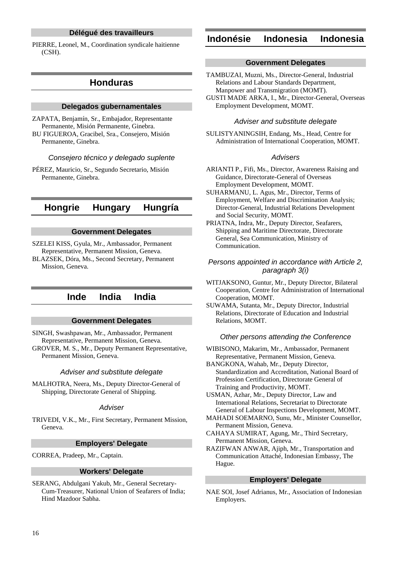## **Délégué des travailleurs**

PIERRE, Leonel, M., Coordination syndicale haitienne (CSH).

## **Honduras**

#### **Delegados gubernamentales**

ZAPATA, Benjamín, Sr., Embajador, Representante Permanente, Misión Permanente, Ginebra. BU FIGUEROA, Gracibel, Sra., Consejero, Misión

Permanente, Ginebra.

Consejero técnico y delegado suplente

PÉREZ, Mauricio, Sr., Segundo Secretario, Misión Permanente, Ginebra.

## **Hongrie Hungary Hungría**

#### **Government Delegates**

SZELEI KISS, Gyula, Mr., Ambassador, Permanent Representative, Permanent Mission, Geneva.

BLAZSEK, Dóra, Ms., Second Secretary, Permanent Mission, Geneva.

## **Inde India India**

#### **Government Delegates**

SINGH, Swashpawan, Mr., Ambassador, Permanent Representative, Permanent Mission, Geneva.

GROVER, M. S., Mr., Deputy Permanent Representative, Permanent Mission, Geneva.

#### Adviser and substitute delegate

MALHOTRA, Neera, Ms., Deputy Director-General of Shipping, Directorate General of Shipping.

#### **Adviser**

TRIVEDI, V.K., Mr., First Secretary, Permanent Mission, Geneva.

### **Employers' Delegate**

CORREA, Pradeep, Mr., Captain.

#### **Workers' Delegate**

SERANG, Abdulgani Yakub, Mr., General Secretary-Cum-Treasurer, National Union of Seafarers of India; Hind Mazdoor Sabha.

## **Indonésie Indonesia Indonesia**

#### **Government Delegates**

TAMBUZAI, Muzni, Ms., Director-General, Industrial Relations and Labour Standards Department, Manpower and Transmigration (MOMT).

GUSTI MADE ARKA, I., Mr., Director-General, Overseas Employment Development, MOMT.

#### Adviser and substitute delegate

SULISTYANINGSIH, Endang, Ms., Head, Centre for Administration of International Cooperation, MOMT.

## Advisers

ARIANTI P., Fifi, Ms., Director, Awareness Raising and Guidance, Directorate-General of Overseas Employment Development, MOMT.

SUHARMANU, L. Agus, Mr., Director, Terms of Employment, Welfare and Discrimination Analysis; Director-General, Industrial Relations Development and Social Security, MOMT.

PRIATNA, Indra, Mr., Deputy Director, Seafarers, Shipping and Maritime Directorate, Directorate General, Sea Communication, Ministry of Communication.

### Persons appointed in accordance with Article 2, paragraph 3(i)

WITJAKSONO, Guntur, Mr., Deputy Director, Bilateral Cooperation, Centre for Administration of International Cooperation, MOMT.

SUWAMA, Sutanta, Mr., Deputy Director, Industrial Relations, Directorate of Education and Industrial Relations, MOMT.

### Other persons attending the Conference

WIBISONO, Makarim, Mr., Ambassador, Permanent Representative, Permanent Mission, Geneva.

BANGKONA, Wahab, Mr., Deputy Director, Standardization and Accreditation, National Board of Profession Certification, Directorate General of Training and Productivity, MOMT.

USMAN, Azhar, Mr., Deputy Director, Law and International Relations, Secretariat to Directorate General of Labour Inspections Development, MOMT.

MAHADI SOEMARNO, Sunu, Mr., Minister Counsellor, Permanent Mission, Geneva.

CAHAYA SUMIRAT, Agung, Mr., Third Secretary, Permanent Mission, Geneva.

RAZIFWAN ANWAR, Ajiph, Mr., Transportation and Communication Attaché, Indonesian Embassy, The Hague.

#### **Employers' Delegate**

NAE SOI, Josef Adrianus, Mr., Association of Indonesian Employers.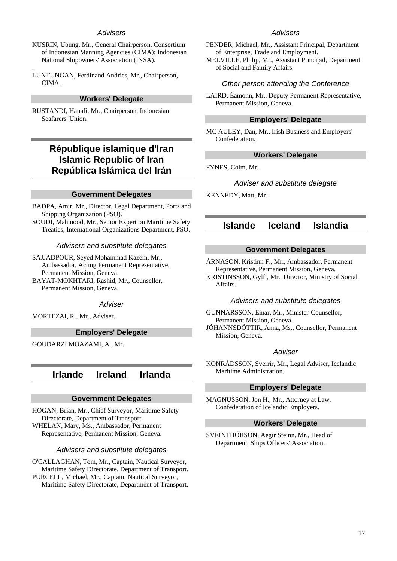## Advisers

- KUSRIN, Ubung, Mr., General Chairperson, Consortium of Indonesian Manning Agencies (CIMA); Indonesian National Shipowners' Association (INSA).
- LUNTUNGAN, Ferdinand Andries, Mr., Chairperson, CIMA.

.

#### **Workers' Delegate**

RUSTANDI, Hanafi, Mr., Chairperson, Indonesian Seafarers' Union.

## **République islamique d'Iran Islamic Republic of Iran República Islámica del Irán**

#### **Government Delegates**

- BADPA, Amir, Mr., Director, Legal Department, Ports and Shipping Organization (PSO).
- SOUDI, Mahmood, Mr., Senior Expert on Maritime Safety Treaties, International Organizations Department, PSO.

#### Advisers and substitute delegates

SAJJADPOUR, Seyed Mohammad Kazem, Mr., Ambassador, Acting Permanent Representative, Permanent Mission, Geneva.

BAYAT-MOKHTARI, Rashid, Mr., Counsellor, Permanent Mission, Geneva.

#### **Adviser**

MORTEZAI, R., Mr., Adviser.

## **Employers' Delegate**

GOUDARZI MOAZAMI, A., Mr.

## **Irlande Ireland Irlanda**

## **Government Delegates**

HOGAN, Brian, Mr., Chief Surveyor, Maritime Safety Directorate, Department of Transport. WHELAN, Mary, Ms., Ambassador, Permanent Representative, Permanent Mission, Geneva.

#### Advisers and substitute delegates

O'CALLAGHAN, Tom, Mr., Captain, Nautical Surveyor, Maritime Safety Directorate, Department of Transport. PURCELL, Michael, Mr., Captain, Nautical Surveyor, Maritime Safety Directorate, Department of Transport.

## Advisers

- PENDER, Michael, Mr., Assistant Principal, Department of Enterprise, Trade and Employment.
- MELVILLE, Philip, Mr., Assistant Principal, Department of Social and Family Affairs.

#### Other person attending the Conference

LAIRD, Éamonn, Mr., Deputy Permanent Representative, Permanent Mission, Geneva.

### **Employers' Delegate**

MC AULEY, Dan, Mr., Irish Business and Employers' Confederation.

#### **Workers' Delegate**

FYNES, Colm, Mr.

#### Adviser and substitute delegate

KENNEDY, Matt, Mr.

## **Islande Iceland Islandia**

#### **Government Delegates**

ÁRNASON, Kristinn F., Mr., Ambassador, Permanent Representative, Permanent Mission, Geneva.

KRISTINSSON, Gylfi, Mr., Director, Ministry of Social Affairs.

#### Advisers and substitute delegates

GUNNARSSON, Einar, Mr., Minister-Counsellor, Permanent Mission, Geneva. JÓHANNSDÓTTIR, Anna, Ms., Counsellor, Permanent Mission, Geneva.

#### **Adviser**

KONRÁDSSON, Sverrir, Mr., Legal Adviser, Icelandic Maritime Administration.

#### **Employers' Delegate**

MAGNUSSON, Jon H., Mr., Attorney at Law, Confederation of Icelandic Employers.

#### **Workers' Delegate**

SVEINTHÓRSON, Aegir Steinn, Mr., Head of Department, Ships Officers' Association.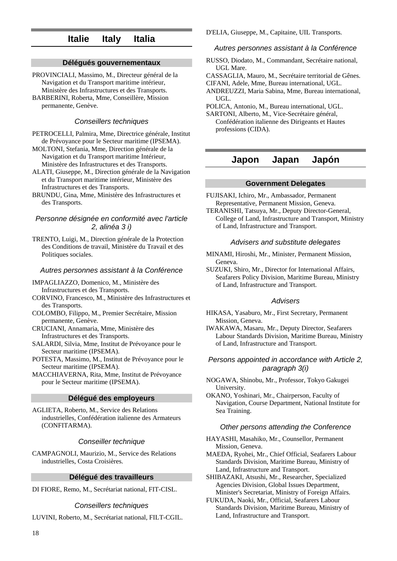## **Italie Italy Italia**

## **Délégués gouvernementaux**

PROVINCIALI, Massimo, M., Directeur général de la Navigation et du Transport maritime intérieur, Ministère des Infrastructures et des Transports. BARBERINI, Roberta, Mme, Conseillère, Mission permanente, Genève.

#### Conseillers techniques

PETROCELLI, Palmira, Mme, Directrice générale, Institut de Prévoyance pour le Secteur maritime (IPSEMA).

MOLTONI, Stefania, Mme, Direction générale de la Navigation et du Transport maritime Intérieur, Ministère des Infrastructures et des Transports.

ALATI, Giuseppe, M., Direction générale de la Navigation et du Transport maritime intérieur, Ministère des Infrastructures et des Transports.

BRUNDU, Gina, Mme, Ministère des Infrastructures et des Transports.

### Personne désignée en conformité avec l'article 2, alinéa 3 i)

TRENTO, Luigi, M., Direction générale de la Protection des Conditions de travail, Ministère du Travail et des Politiques sociales.

#### Autres personnes assistant à la Conférence

IMPAGLIAZZO, Domenico, M., Ministère des Infrastructures et des Transports.

CORVINO, Francesco, M., Ministère des Infrastructures et des Transports.

- COLOMBO, Filippo, M., Premier Secrétaire, Mission permanente, Genève.
- CRUCIANI, Annamaria, Mme, Ministère des Infrastructures et des Transports.
- SALARDI, Silvia, Mme, Institut de Prévoyance pour le Secteur maritime (IPSEMA).

POTESTA, Massimo, M., Institut de Prévoyance pour le Secteur maritime (IPSEMA).

MACCHIAVERNA, Rita, Mme, Institut de Prévoyance pour le Secteur maritime (IPSEMA).

## **Délégué des employeurs**

AGLIETA, Roberto, M., Service des Relations industrielles, Confédération italienne des Armateurs (CONFITARMA).

## Conseiller technique

CAMPAGNOLI, Maurizio, M., Service des Relations industrielles, Costa Croisières.

#### **Délégué des travailleurs**

DI FIORE, Remo, M., Secrétariat national, FIT-CISL.

#### Conseillers techniques

LUVINI, Roberto, M., Secrétariat national, FILT-CGIL.

D'ELIA, Giuseppe, M., Capitaine, UIL Transports.

#### Autres personnes assistant à la Conférence

- RUSSO, Diodato, M., Commandant, Secrétaire national, UGL Mare.
- CASSAGLIA, Mauro, M., Secrétaire territorial de Gênes.
- CIFANI, Adele, Mme, Bureau international, UGL.
- ANDREUZZI, Maria Sabina, Mme, Bureau international, UGL.

POLICA, Antonio, M., Bureau international, UGL.

SARTONI, Alberto, M., Vice-Secrétaire général, Confédération italienne des Dirigeants et Hautes professions (CIDA).

## **Japon Japan Japón**

### **Government Delegates**

FUJISAKI, Ichiro, Mr., Ambassador, Permanent Representative, Permanent Mission, Geneva.

TERANISHI, Tatsuya, Mr., Deputy Director-General, College of Land, Infrastructure and Transport, Ministry of Land, Infrastructure and Transport.

#### Advisers and substitute delegates

- MINAMI, Hiroshi, Mr., Minister, Permanent Mission, Geneva.
- SUZUKI, Shiro, Mr., Director for International Affairs, Seafarers Policy Division, Maritime Bureau, Ministry of Land, Infrastructure and Transport.

#### **Advisers**

- HIKASA, Yasaburo, Mr., First Secretary, Permanent Mission, Geneva.
- IWAKAWA, Masaru, Mr., Deputy Director, Seafarers Labour Standards Division, Maritime Bureau, Ministry of Land, Infrastructure and Transport.

## Persons appointed in accordance with Article 2, paragraph 3(i)

NOGAWA, Shinobu, Mr., Professor, Tokyo Gakugei University.

OKANO, Yoshinari, Mr., Chairperson, Faculty of Navigation, Course Department, National Institute for Sea Training.

#### Other persons attending the Conference

HAYASHI, Masahiko, Mr., Counsellor, Permanent Mission, Geneva.

MAEDA, Ryohei, Mr., Chief Official, Seafarers Labour Standards Division, Maritime Bureau, Ministry of Land, Infrastructure and Transport.

SHIBAZAKI, Atsushi, Mr., Researcher, Specialized Agencies Division, Global Issues Department, Minister's Secretariat, Ministry of Foreign Affairs.

FUKUDA, Naoki, Mr., Official, Seafarers Labour Standards Division, Maritime Bureau, Ministry of Land, Infrastructure and Transport.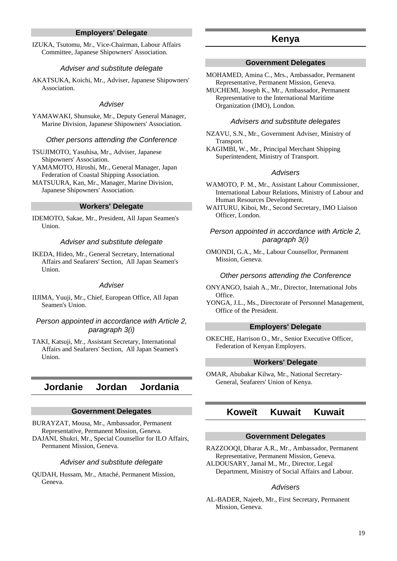## **Employers' Delegate**

IZUKA, Tsutomu, Mr., Vice-Chairman, Labour Affairs Committee, Japanese Shipowners' Association.

#### Adviser and substitute delegate

AKATSUKA, Koichi, Mr., Adviser, Japanese Shipowners' Association.

#### **Adviser**

YAMAWAKI, Shunsuke, Mr., Deputy General Manager, Marine Division, Japanese Shipowners' Association.

#### Other persons attending the Conference

TSUJIMOTO, Yasuhisa, Mr., Adviser, Japanese Shipowners' Association.

YAMAMOTO, Hiroshi, Mr., General Manager, Japan Federation of Coastal Shipping Association.

MATSUURA, Kan, Mr., Manager, Marine Division, Japanese Shipowners' Association.

#### **Workers' Delegate**

IDEMOTO, Sakae, Mr., President, All Japan Seamen's Union.

#### Adviser and substitute delegate

IKEDA, Hideo, Mr., General Secretary, International Affairs and Seafarers' Section, All Japan Seamen's Union.

#### **Adviser**

IIJIMA, Yuuji, Mr., Chief, European Office, All Japan Seamen's Union.

## Person appointed in accordance with Article 2, paragraph 3(i)

TAKI, Katsuji, Mr., Assistant Secretary, International Affairs and Seafarers' Section, All Japan Seamen's Union.

## **Jordanie Jordan Jordania**

## **Government Delegates**

BURAYZAT, Mousa, Mr., Ambassador, Permanent Representative, Permanent Mission, Geneva. DAJANI, Shukri, Mr., Special Counsellor for ILO Affairs, Permanent Mission, Geneva.

#### Adviser and substitute delegate

QUDAH, Hussam, Mr., Attaché, Permanent Mission, Geneva.

## **Kenya**

#### **Government Delegates**

MOHAMED, Amina C., Mrs., Ambassador, Permanent Representative, Permanent Mission, Geneva.

MUCHEMI, Joseph K., Mr., Ambassador, Permanent Representative to the International Maritime Organization (IMO), London.

#### Advisers and substitute delegates

NZAVU, S.N., Mr., Government Adviser, Ministry of Transport.

KAGIMBI, W., Mr., Principal Merchant Shipping Superintendent, Ministry of Transport.

#### Advisers

WAMOTO, P. M., Mr., Assistant Labour Commissioner, International Labour Relations, Ministry of Labour and Human Resources Development.

WAITURU, Kiboi, Mr., Second Secretary, IMO Liaison Officer, London.

## Person appointed in accordance with Article 2, paragraph 3(i)

OMONDI, G.A., Mr., Labour Counsellor, Permanent Mission, Geneva.

#### Other persons attending the Conference

ONYANGO, Isaiah A., Mr., Director, International Jobs Office.

YONGA, J.L., Ms., Directorate of Personnel Management, Office of the President.

### **Employers' Delegate**

OKECHE, Harrison O., Mr., Senior Executive Officer, Federation of Kenyan Employers.

#### **Workers' Delegate**

OMAR, Abubakar Kilwa, Mr., National Secretary-General, Seafarers' Union of Kenya.

## **Koweït Kuwait Kuwait**

#### **Government Delegates**

RAZZOOQI, Dharar A.R., Mr., Ambassador, Permanent Representative, Permanent Mission, Geneva.

ALDOUSARY, Jamal M., Mr., Director, Legal Department, Ministry of Social Affairs and Labour.

#### Advisers

AL-BADER, Najeeb, Mr., First Secretary, Permanent Mission, Geneva.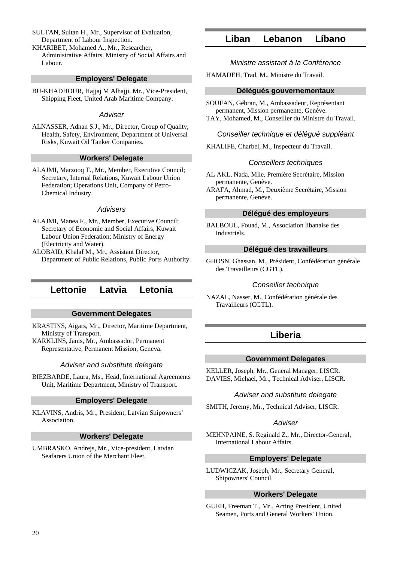SULTAN, Sultan H., Mr., Supervisor of Evaluation, Department of Labour Inspection.

KHARIBET, Mohamed A., Mr., Researcher, Administrative Affairs, Ministry of Social Affairs and Labour.

## **Employers' Delegate**

BU-KHADHOUR, Hajjaj M Alhajji, Mr., Vice-President, Shipping Fleet, United Arab Maritime Company.

#### **Adviser**

ALNASSER, Adnan S.J., Mr., Director, Group of Quality, Health, Safety, Environment, Department of Universal Risks, Kuwait Oil Tanker Companies.

#### **Workers' Delegate**

ALAJMI, Marzooq T., Mr., Member, Executive Council; Secretary, Internal Relations, Kuwait Labour Union Federation; Operations Unit, Company of Petro-Chemical Industry.

#### **Advisers**

- ALAJMI, Manea F., Mr., Member, Executive Council; Secretary of Economic and Social Affairs, Kuwait Labour Union Federation; Ministry of Energy (Electricity and Water).
- ALOBAID, Khalaf M., Mr., Assistant Director, Department of Public Relations, Public Ports Authority.

## **Lettonie Latvia Letonia**

#### **Government Delegates**

KRASTINS, Aigars, Mr., Director, Maritime Department, Ministry of Transport.

KARKLINS, Janis, Mr., Ambassador, Permanent Representative, Permanent Mission, Geneva.

#### Adviser and substitute delegate

BIEZBARDE, Laura, Ms., Head, International Agreements Unit, Maritime Department, Ministry of Transport.

#### **Employers' Delegate**

KLAVINS, Andris, Mr., President, Latvian Shipowners' Association.

#### **Workers' Delegate**

UMBRASKO, Andrejs, Mr., Vice-president, Latvian Seafarers Union of the Merchant Fleet.

## **Liban Lebanon Líbano**

Ministre assistant à la Conférence

HAMADEH, Trad, M., Ministre du Travail.

#### **Délégués gouvernementaux**

SOUFAN, Gébran, M., Ambassadeur, Représentant permanent, Mission permanente, Genève. TAY, Mohamed, M., Conseiller du Ministre du Travail.

#### Conseiller technique et délégué suppléant

KHALIFE, Charbel, M., Inspecteur du Travail.

#### Conseillers techniques

AL AKL, Nada, Mlle, Première Secrétaire, Mission permanente, Genève.

ARAFA, Ahmad, M., Deuxième Secrétaire, Mission permanente, Genève.

### **Délégué des employeurs**

BALBOUL, Fouad, M., Association libanaise des Industriels.

## **Délégué des travailleurs**

GHOSN, Ghassan, M., Président, Confédération générale des Travailleurs (CGTL).

#### Conseiller technique

NAZAL, Nasser, M., Confédération générale des Travailleurs (CGTL).

## **Liberia**

#### **Government Delegates**

KELLER, Joseph, Mr., General Manager, LISCR. DAVIES, Michael, Mr., Technical Adviser, LISCR.

#### Adviser and substitute delegate

SMITH, Jeremy, Mr., Technical Adviser, LISCR.

#### **Adviser**

MEHNPAINE, S. Reginald Z., Mr., Director-General, International Labour Affairs.

## **Employers' Delegate**

LUDWICZAK, Joseph, Mr., Secretary General, Shipowners' Council.

#### **Workers' Delegate**

GUEH, Freeman T., Mr., Acting President, United Seamen, Ports and General Workers' Union.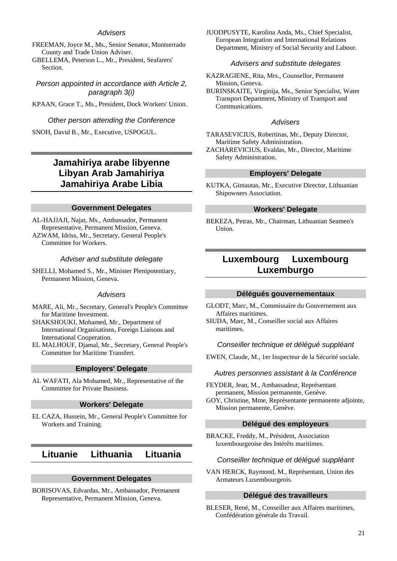## Advisers

FREEMAN, Joyce M., Ms., Senior Senator, Montserrado County and Trade Union Adviser.

GBELLEMA, Peterson L., Mr., President, Seafarers' Section.

Person appointed in accordance with Article 2, paragraph 3(i)

KPAAN, Grace T., Ms., President, Dock Workers' Union.

Other person attending the Conference

SNOH, David B., Mr., Executive, USPOGUL.

## **Jamahiriya arabe libyenne Libyan Arab Jamahiriya Jamahiriya Arabe Libia**

## **Government Delegates**

AL-HAJJAJI, Najat, Ms., Ambassador, Permanent Representative, Permanent Mission, Geneva. AZWAM, Idriss, Mr., Secretary, General People's Committee for Workers.

#### Adviser and substitute delegate

SHELLI, Mohamed S., Mr., Minister Plenipotentiary, Permanent Mission, Geneva.

### **Advisers**

- MARE, Ali, Mr., Secretary, General's People's Committee for Maritime Investment.
- SHAKSHOUKI, Mohamed, Mr., Department of International Organisations, Foreign Liaisons and International Cooperation.
- EL MALHOUF, Djamal, Mr., Secretary, General People's Committee for Maritime Transfert.

### **Employers' Delegate**

AL WAFATI, Ala Mohamed, Mr., Representative of the Committee for Private Business.

#### **Workers' Delegate**

EL CAZA, Hussein, Mr., General People's Committee for Workers and Training.

## **Lituanie Lithuania Lituania**

#### **Government Delegates**

BORISOVAS, Edvardas, Mr., Ambassador, Permanent Representative, Permanent Mission, Geneva.

JUODPUSYTE, Karolina Anda, Ms., Chief Specialist, European Integration and International Relations Department, Ministry of Social Security and Labour.

### Advisers and substitute delegates

KAZRAGIENE, Rita, Mrs., Counsellor, Permanent Mission, Geneva.

BURINSKAITE, Virginija, Ms., Senior Specialist, Water Transport Department, Ministry of Transport and Communications.

#### Advisers

TARASEVICIUS, Robertinas, Mr., Deputy Director, Maritime Safety Administration.

ZACHAREVICIUS, Evaldas, Mr., Director, Maritime Safety Administration.

## **Employers' Delegate**

KUTKA, Gintautas, Mr., Executive Director, Lithuanian Shipowners Association.

## **Workers' Delegate**

BEKEZA, Petras, Mr., Chairman, Lithuanian Seamen's Union.

## **Luxembourg Luxembourg Luxemburgo**

#### **Délégués gouvernementaux**

GLODT, Marc, M., Commissaire du Gouvernement aux Affaires maritimes.

SIUDA, Marc, M., Conseiller social aux Affaires maritimes.

#### Conseiller technique et délégué suppléant

EWEN, Claude, M., 1er Inspecteur de la Sécurité sociale.

#### Autres personnes assistant à la Conférence

- FEYDER, Jean, M., Ambassadeur, Représentant permanent, Mission permanente, Genève.
- GOY, Christine, Mme, Représentante permanente adjointe, Mission permanente, Genève.

#### **Délégué des employeurs**

BRACKE, Freddy, M., Président, Association luxembourgeoise des Intérêts maritimes.

#### Conseiller technique et délégué suppléant

VAN HERCK, Raymond, M., Représentant, Union des Armateurs Luxembourgeois.

### **Délégué des travailleurs**

BLESER, René, M., Conseiller aux Affaires maritimes, Confédération générale du Travail.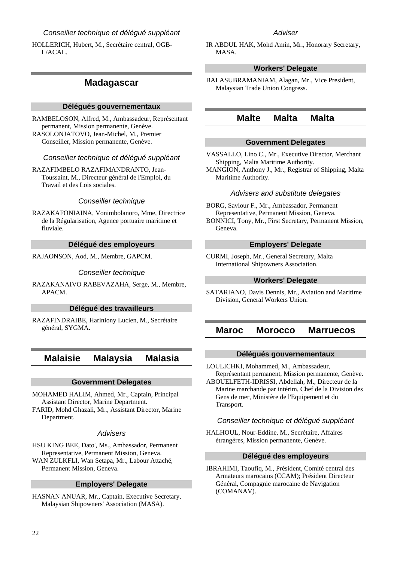## Conseiller technique et délégué suppléant

HOLLERICH, Hubert, M., Secrétaire central, OGB-L/ACAL.

## **Madagascar**

#### **Délégués gouvernementaux**

RAMBELOSON, Alfred, M., Ambassadeur, Représentant permanent, Mission permanente, Genève. RASOLONJATOVO, Jean-Michel, M., Premier Conseiller, Mission permanente, Genève.

## Conseiller technique et délégué suppléant

RAZAFIMBELO RAZAFIMANDRANTO, Jean-Toussaint, M., Directeur général de l'Emploi, du Travail et des Lois sociales.

### Conseiller technique

RAZAKAFONIAINA, Vonimbolanoro, Mme, Directrice de la Régularisation, Agence portuaire maritime et fluviale.

### **Délégué des employeurs**

RAJAONSON, Aod, M., Membre, GAPCM.

#### Conseiller technique

RAZAKANAIVO RABEVAZAHA, Serge, M., Membre, APACM.

#### **Délégué des travailleurs**

RAZAFINDRAIBE, Hariniony Lucien, M., Secrétaire général, SYGMA.

## **Malaisie Malaysia Malasia**

#### **Government Delegates**

MOHAMED HALIM, Ahmed, Mr., Captain, Principal Assistant Director, Marine Department.

FARID, Mohd Ghazali, Mr., Assistant Director, Marine Department.

## **Advisers**

HSU KING BEE, Dato', Ms., Ambassador, Permanent Representative, Permanent Mission, Geneva. WAN ZULKFLI, Wan Setapa, Mr., Labour Attaché, Permanent Mission, Geneva.

### **Employers' Delegate**

HASNAN ANUAR, Mr., Captain, Executive Secretary, Malaysian Shipowners' Association (MASA).

### **Adviser**

IR ABDUL HAK, Mohd Amin, Mr., Honorary Secretary, MASA.

## **Workers' Delegate**

BALASUBRAMANIAM, Alagan, Mr., Vice President, Malaysian Trade Union Congress.

## **Malte Malta Malta**

## **Government Delegates**

VASSALLO, Lino C., Mr., Executive Director, Merchant Shipping, Malta Maritime Authority.

MANGION, Anthony J., Mr., Registrar of Shipping, Malta Maritime Authority.

## Advisers and substitute delegates

BORG, Saviour F., Mr., Ambassador, Permanent Representative, Permanent Mission, Geneva.

BONNICI, Tony, Mr., First Secretary, Permanent Mission, Geneva.

## **Employers' Delegate**

CURMI, Joseph, Mr., General Secretary, Malta International Shipowners Association.

## **Workers' Delegate**

SATARIANO, Davis Dennis, Mr., Aviation and Maritime Division, General Workers Union.

## **Maroc Morocco Marruecos**

### **Délégués gouvernementaux**

LOULICHKI, Mohammed, M., Ambassadeur, Représentant permanent, Mission permanente, Genève.

ABOUELFETH-IDRISSI, Abdellah, M., Directeur de la Marine marchande par intérim, Chef de la Division des Gens de mer, Ministère de l'Equipement et du Transport.

#### Conseiller technique et délégué suppléant

HALHOUL, Nour-Eddine, M., Secrétaire, Affaires étrangères, Mission permanente, Genève.

## **Délégué des employeurs**

IBRAHIMI, Taoufiq, M., Président, Comité central des Armateurs marocains (CCAM); Président Directeur Général, Compagnie marocaine de Navigation (COMANAV).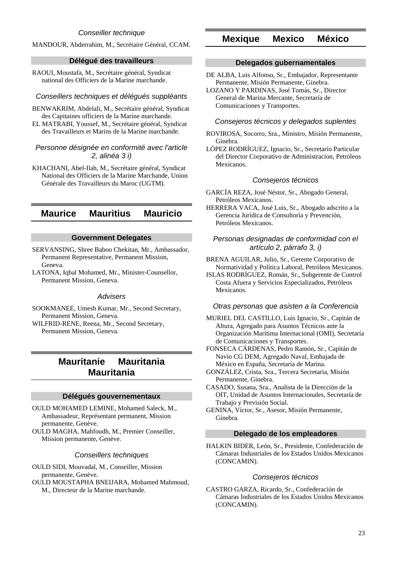## MANDOUR, Abderrahim, M., Secrétaire Général, CCAM.

## **Délégué des travailleurs**

RAOUI, Moustafa, M., Secrétaire général, Syndicat national des Officiers de la Marine marchande.

#### Conseillers techniques et délégués suppléants

BENWAKRIM, Abdelali, M., Secrétaire général, Syndicat des Capitaines officiers de la Marine marchande.

EL MATRABI, Youssef, M., Secrétaire général, Syndicat des Travailleurs et Marins de la Marine marchande.

## Personne désignée en conformité avec l'article 2, alinéa 3 i)

KHACHANI, Abel-Ilah, M., Secrétaire général, Syndicat National des Officiers de la Marine Marchande, Union Générale des Travailleurs du Maroc (UGTM).

## **Maurice Mauritius Mauricio**

## **Government Delegates**

- SERVANSING, Shree Baboo Chekitan, Mr., Ambassador, Permanent Representative, Permanent Mission, Geneva.
- LATONA, Iqbal Mohamed, Mr., Minister-Counsellor, Permanent Mission, Geneva.

### **Advisers**

- SOOKMANEE, Umesh Kumar, Mr., Second Secretary, Permanent Mission, Geneva.
- WILFRID-RENE, Reena, Mr., Second Secretary, Permanent Mission, Geneva.

## **Mauritanie Mauritania Mauritania**

### **Délégués gouvernementaux**

OULD MOHAMED LEMINE, Mohamed Saleck, M., Ambassadeur, Représentant permanent, Mission permanente, Genève.

OULD MAGHA, Mahfoudh, M., Premier Conseiller, Mission permanente, Genève.

## Conseillers techniques

- OULD SIDI, Mouvadal, M., Conseiller, Mission permanente, Genève.
- OULD MOUSTAPHA BNEIJARA, Mohamed Mahmoud, M., Directeur de la Marine marchande.

## **Mexique Mexico México**

## **Delegados gubernamentales**

DE ALBA, Luis Alfonso, Sr., Embajador, Representante Permanente, Misión Permanente, Ginebra.

#### Consejeros técnicos y delegados suplentes

- ROVIROSA, Socorro, Sra., Ministro, Misión Permanente, Ginebra.
- LÓPEZ RODRÍGUEZ, Ignacio, Sr., Secretario Particular del Director Corporativo de Administracion, Petróleos Mexicanos.

## Consejeros técnicos

- GARCÍA REZA, José Néstor, Sr., Abogado General, Petróleos Mexicanos.
- HERRERA VACA, José Luis, Sr., Abogado adscrito a la Gerencia Jurídica de Consultoría y Prevención, Petróleos Mexicanos.

## Personas designadas de conformidad con el artículo 2, párrafo 3, i)

BRENA AGUILAR, Julio, Sr., Gerente Corporativo de Normatividad y Política Laboral, Petróleos Mexicanos.

ISLAS RODRÍGUEZ, Román, Sr., Subgerente de Control Costa Afuera y Servicios Especializados, Petróleos Mexicanos.

### Otras personas que asisten a la Conferencia

MURIEL DEL CASTILLO, Luis Ignacio, Sr., Capitán de Altura, Agregado para Asuntos Técnicos ante la Organización Marítima Internacional (OMI), Secretaría de Comunicaciones y Transportes.

FONSECA CÁRDENAS, Pedro Ramón, Sr., Capitán de Navío CG DEM, Agregado Naval, Embajada de México en España, Secretaría de Marina.

GONZÁLEZ, Crista, Sra., Tercera Secretaria, Misión Permanente, Ginebra.

CASADO, Susana, Sra., Analista de la Dirección de la OIT, Unidad de Asuntos Internacionales, Secretaría de Trabajo y Previsión Social.

GENINA, Víctor, Sr., Asesor, Misión Permanente, Ginebra.

### **Delegado de los empleadores**

HALKIN BIDER, León, Sr., Presidente, Confederación de Cámaras Industriales de los Estados Unidos Mexicanos (CONCAMIN).

## Consejeros técnicos

CASTRO GARZA, Ricardo, Sr., Confederación de Cámaras Industriales de los Estados Unidos Mexicanos (CONCAMIN).

LOZANO Y PARDINAS, José Tomás, Sr., Director General de Marina Mercante, Secretaría de Comunicaciones y Transportes.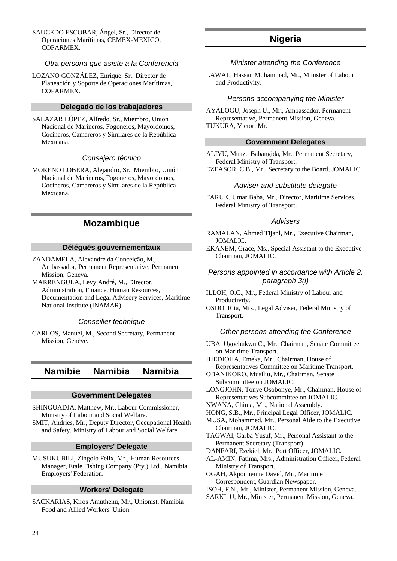SAUCEDO ESCOBAR, Ángel, Sr., Director de Operaciones Marítimas, CEMEX-MEXICO, COPARMEX.

### Otra persona que asiste a la Conferencia

LOZANO GONZÁLEZ, Enrique, Sr., Director de Planeación y Soporte de Operaciones Marítimas, COPARMEX.

## **Delegado de los trabajadores**

SALAZAR LÓPEZ, Alfredo, Sr., Miembro, Unión Nacional de Marineros, Fogoneros, Mayordomos, Cocineros, Camareros y Similares de la República Mexicana.

#### Consejero técnico

MORENO LOBERA, Alejandro, Sr., Miembro, Unión Nacional de Marineros, Fogoneros, Mayordomos, Cocineros, Camareros y Similares de la República Mexicana.

## **Mozambique**

#### **Délégués gouvernementaux**

- ZANDAMELA, Alexandre da Conceição, M., Ambassador, Permanent Representative, Permanent Mission, Geneva.
- MARRENGULA, Levy André, M., Director, Administration, Finance, Human Resources, Documentation and Legal Advisory Services, Maritime National Institute (INAMAR).

#### Conseiller technique

CARLOS, Manuel, M., Second Secretary, Permanent Mission, Genève.

## **Namibie Namibia Namibia**

#### **Government Delegates**

SHINGUADJA, Matthew, Mr., Labour Commissioner, Ministry of Labour and Social Welfare.

SMIT, Andries, Mr., Deputy Director, Occupational Health and Safety, Ministry of Labour and Social Welfare.

#### **Employers' Delegate**

MUSUKUBILI, Zingolo Felix, Mr., Human Resources Manager, Etale Fishing Company (Pty.) Ltd., Namibia Employers' Federation.

#### **Workers' Delegate**

SACKARIAS, Kiros Amuthenu, Mr., Unionist, Namibia Food and Allied Workers' Union.

## **Nigeria**

#### Minister attending the Conference

LAWAL, Hassan Muhammad, Mr., Minister of Labour and Productivity.

#### Persons accompanying the Minister

AYALOGU, Joseph U., Mr., Ambassador, Permanent Representative, Permanent Mission, Geneva. TUKURA, Victor, Mr.

#### **Government Delegates**

ALIYU, Muazu Babangida, Mr., Permanent Secretary, Federal Ministry of Transport. EZEASOR, C.B., Mr., Secretary to the Board, JOMALIC.

#### Adviser and substitute delegate

FARUK, Umar Baba, Mr., Director, Maritime Services, Federal Ministry of Transport.

#### Advisers

- RAMALAN, Ahmed Tijanl, Mr., Executive Chairman, JOMALIC.
- EKANEM, Grace, Ms., Special Assistant to the Executive Chairman, JOMALIC.

## Persons appointed in accordance with Article 2, paragraph 3(i)

- ILLOH, O.C., Mr., Federal Ministry of Labour and Productivity.
- OSIJO, Rita, Mrs., Legal Adviser, Federal Ministry of Transport.

#### Other persons attending the Conference

- UBA, Ugochukwu C., Mr., Chairman, Senate Committee on Maritime Transport.
- IHEDIOHA, Emeka, Mr., Chairman, House of Representatives Committee on Maritime Transport.
- OBANIKORO, Musiliu, Mr., Chairman, Senate Subcommittee on JOMALIC.

LONGJOHN, Tonye Osobonye, Mr., Chairman, House of Representatives Subcommittee on JOMALIC.

- NWANA, Chima, Mr., National Assembly.
- HONG, S.B., Mr., Principal Legal Officer, JOMALIC.
- MUSA, Mohammed, Mr., Personal Aide to the Executive Chairman, JOMALIC.
- TAGWAI, Garba Yusuf, Mr., Personal Assistant to the Permanent Secretary (Transport).
- DANFARI, Ezekiel, Mr., Port Officer, JOMALIC.
- AL-AMIN, Fatima, Mrs., Administration Officer, Federal Ministry of Transport.
- OGAH, Akpomiemie David, Mr., Maritime Correspondent, Guardian Newspaper.
- ISOH, F.N., Mr., Minister, Permanent Mission, Geneva.
- SARKI, U, Mr., Minister, Permanent Mission, Geneva.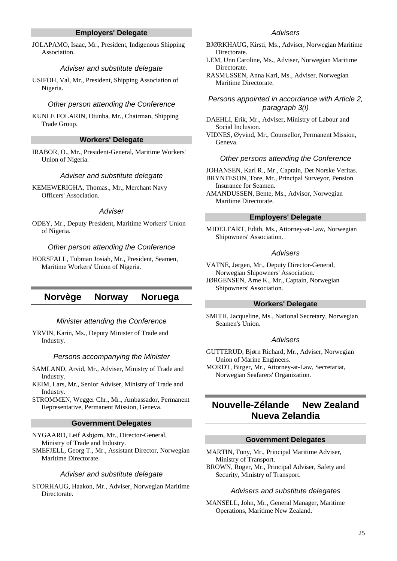## **Employers' Delegate**

JOLAPAMO, Isaac, Mr., President, Indigenous Shipping Association.

#### Adviser and substitute delegate

USIFOH, Val, Mr., President, Shipping Association of Nigeria.

#### Other person attending the Conference

KUNLE FOLARIN, Otunba, Mr., Chairman, Shipping Trade Group.

## **Workers' Delegate**

IRABOR, O., Mr., President-General, Maritime Workers' Union of Nigeria.

#### Adviser and substitute delegate

KEMEWERIGHA, Thomas., Mr., Merchant Navy Officers' Association.

#### **Adviser**

ODEY, Mr., Deputy President, Maritime Workers' Union of Nigeria.

### Other person attending the Conference

HORSFALL, Tubman Josiah, Mr., President, Seamen, Maritime Workers' Union of Nigeria.

## **Norvège Norway Noruega**

#### Minister attending the Conference

YRVIN, Karin, Ms., Deputy Minister of Trade and Industry.

#### Persons accompanying the Minister

SAMLAND, Arvid, Mr., Adviser, Ministry of Trade and Industry.

KEIM, Lars, Mr., Senior Adviser, Ministry of Trade and Industry.

STROMMEN, Wegger Chr., Mr., Ambassador, Permanent Representative, Permanent Mission, Geneva.

#### **Government Delegates**

NYGAARD, Leif Asbjørn, Mr., Director-General, Ministry of Trade and Industry.

SMEFJELL, Georg T., Mr., Assistant Director, Norwegian Maritime Directorate.

#### Adviser and substitute delegate

STORHAUG, Haakon, Mr., Adviser, Norwegian Maritime Directorate.

## **Advisers**

- BJØRKHAUG, Kirsti, Ms., Adviser, Norwegian Maritime **Directorate**
- LEM, Unn Caroline, Ms., Adviser, Norwegian Maritime Directorate.
- RASMUSSEN, Anna Kari, Ms., Adviser, Norwegian Maritime Directorate.

## Persons appointed in accordance with Article 2, paragraph 3(i)

DAEHLI, Erik, Mr., Adviser, Ministry of Labour and Social Inclusion.

VIDNES, Øyvind, Mr., Counsellor, Permanent Mission, Geneva.

#### Other persons attending the Conference

JOHANSEN, Karl R., Mr., Captain, Det Norske Veritas. BRYNTESON, Tore, Mr., Principal Surveyor, Pension Insurance for Seamen.

#### **Employers' Delegate**

MIDELFART, Edith, Ms., Attorney-at-Law, Norwegian Shipowners' Association.

#### Advisers

VATNE, Jørgen, Mr., Deputy Director-General, Norwegian Shipowners' Association.

JØRGENSEN, Arne K., Mr., Captain, Norwegian Shipowners' Association.

## **Workers' Delegate**

SMITH, Jacqueline, Ms., National Secretary, Norwegian Seamen's Union.

## Advisers

GUTTERUD, Bjørn Richard, Mr., Adviser, Norwegian Union of Marine Engineers.

MORDT, Birger, Mr., Attorney-at-Law, Secretariat, Norwegian Seafarers' Organization.

## **Nouvelle-Zélande New Zealand Nueva Zelandia**

#### **Government Delegates**

- MARTIN, Tony, Mr., Principal Maritime Adviser, Ministry of Transport.
- BROWN, Roger, Mr., Principal Adviser, Safety and Security, Ministry of Transport.

#### Advisers and substitute delegates

MANSELL, John, Mr., General Manager, Maritime Operations, Maritime New Zealand.

AMANDUSSEN, Bente, Ms., Advisor, Norwegian Maritime Directorate.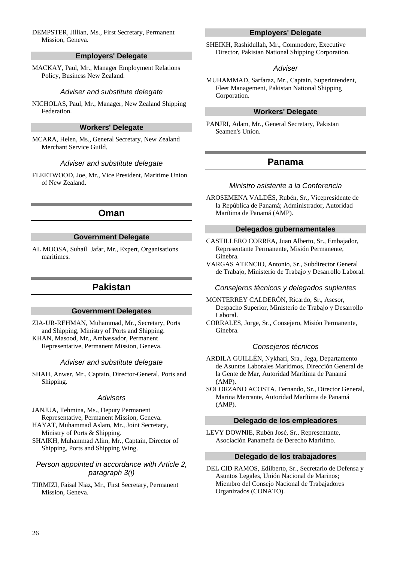## DEMPSTER, Jillian, Ms., First Secretary, Permanent Mission, Geneva.

## **Employers' Delegate**

MACKAY, Paul, Mr., Manager Employment Relations Policy, Business New Zealand.

## Adviser and substitute delegate

NICHOLAS, Paul, Mr., Manager, New Zealand Shipping Federation.

## **Workers' Delegate**

MCARA, Helen, Ms., General Secretary, New Zealand Merchant Service Guild.

### Adviser and substitute delegate

FLEETWOOD, Joe, Mr., Vice President, Maritime Union of New Zealand.

## **Oman**

## **Government Delegate**

AL MOOSA, Suhail Jafar, Mr., Expert, Organisations maritimes.

## **Pakistan**

## **Government Delegates**

ZIA-UR-REHMAN, Muhammad, Mr., Secretary, Ports and Shipping, Ministry of Ports and Shipping. KHAN, Masood, Mr., Ambassador, Permanent Representative, Permanent Mission, Geneva.

#### Adviser and substitute delegate

SHAH, Anwer, Mr., Captain, Director-General, Ports and Shipping.

#### **Advisers**

JANJUA, Tehmina, Ms., Deputy Permanent Representative, Permanent Mission, Geneva.

HAYAT, Muhammad Aslam, Mr., Joint Secretary, Ministry of Ports & Shipping.

SHAIKH, Muhammad Alim, Mr., Captain, Director of Shipping, Ports and Shipping Wing.

## Person appointed in accordance with Article 2, paragraph 3(i)

TIRMIZI, Faisal Niaz, Mr., First Secretary, Permanent Mission, Geneva.

## **Employers' Delegate**

SHEIKH, Rashidullah, Mr., Commodore, Executive Director, Pakistan National Shipping Corporation.

#### **Adviser**

MUHAMMAD, Sarfaraz, Mr., Captain, Superintendent, Fleet Management, Pakistan National Shipping Corporation.

## **Workers' Delegate**

PANJRI, Adam, Mr., General Secretary, Pakistan Seamen's Union.

## **Panama**

#### Ministro asistente a la Conferencia

AROSEMENA VALDÉS, Rubén, Sr., Vicepresidente de la República de Panamá; Administrador, Autoridad Marítima de Panamá (AMP).

## **Delegados gubernamentales**

CASTILLERO CORREA, Juan Alberto, Sr., Embajador, Representante Permanente, Misión Permanente, Ginebra.

VARGAS ATENCIO, Antonio, Sr., Subdirector General de Trabajo, Ministerio de Trabajo y Desarrollo Laboral.

## Consejeros técnicos y delegados suplentes

MONTERREY CALDERÓN, Ricardo, Sr., Asesor, Despacho Superior, Ministerio de Trabajo y Desarrollo Laboral.

CORRALES, Jorge, Sr., Consejero, Misión Permanente, Ginebra.

### Consejeros técnicos

ARDILA GUILLÉN, Nykhari, Sra., Jega, Departamento de Asuntos Laborales Marítimos, Dirección General de la Gente de Mar, Autoridad Marítima de Panamá (AMP).

SOLORZANO ACOSTA, Fernando, Sr., Director General, Marina Mercante, Autoridad Marítima de Panamá (AMP).

## **Delegado de los empleadores**

LEVY DOWNIE, Rubén José, Sr., Representante, Asociación Panameña de Derecho Marítimo.

## **Delegado de los trabajadores**

DEL CID RAMOS, Edilberto, Sr., Secretario de Defensa y Asuntos Legales, Unión Nacional de Marinos; Miembro del Consejo Nacional de Trabajadores Organizados (CONATO).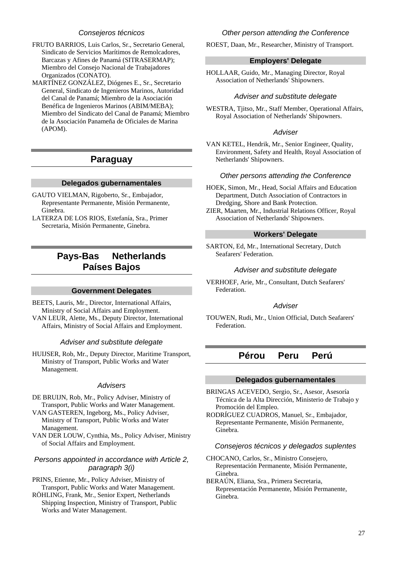## Consejeros técnicos

- FRUTO BARRIOS, Luis Carlos, Sr., Secretario General, Sindicato de Servicios Marítimos de Remolcadores, Barcazas y Afines de Panamá (SITRASERMAP); Miembro del Consejo Nacional de Trabajadores Organizados (CONATO).
- MARTÍNEZ GONZÁLEZ, Diógenes E., Sr., Secretario General, Sindicato de Ingenieros Marinos, Autoridad del Canal de Panamá; Miembro de la Asociación Benéfica de Ingenieros Marinos (ABIM/MEBA); Miembro del Sindicato del Canal de Panamá; Miembro de la Asociación Panameña de Oficiales de Marina (APOM).

## **Paraguay**

## **Delegados gubernamentales**

- GAUTO VIELMAN, Rigoberto, Sr., Embajador, Representante Permanente, Misión Permanente, Ginebra.
- LATERZA DE LOS RIOS, Estefanía, Sra., Primer Secretaria, Misión Permanente, Ginebra.

## **Pays-Bas Netherlands Países Bajos**

#### **Government Delegates**

BEETS, Lauris, Mr., Director, International Affairs, Ministry of Social Affairs and Employment. VAN LEUR, Alette, Ms., Deputy Director, International Affairs, Ministry of Social Affairs and Employment.

### Adviser and substitute delegate

HUIJSER, Rob, Mr., Deputy Director, Maritime Transport, Ministry of Transport, Public Works and Water Management.

## **Advisers**

- DE BRUIJN, Rob, Mr., Policy Adviser, Ministry of Transport, Public Works and Water Management.
- VAN GASTEREN, Ingeborg, Ms., Policy Adviser, Ministry of Transport, Public Works and Water Management.
- VAN DER LOUW, Cynthia, Ms., Policy Adviser, Ministry of Social Affairs and Employment.

## Persons appointed in accordance with Article 2, paragraph 3(i)

- PRINS, Etienne, Mr., Policy Adviser, Ministry of Transport, Public Works and Water Management.
- RÖHLING, Frank, Mr., Senior Expert, Netherlands Shipping Inspection, Ministry of Transport, Public Works and Water Management.

## Other person attending the Conference

ROEST, Daan, Mr., Researcher, Ministry of Transport.

## **Employers' Delegate**

HOLLAAR, Guido, Mr., Managing Director, Royal Association of Netherlands' Shipowners.

## Adviser and substitute delegate

WESTRA, Tjitso, Mr., Staff Member, Operational Affairs, Royal Association of Netherlands' Shipowners.

## **Adviser**

VAN KETEL, Hendrik, Mr., Senior Engineer, Quality, Environment, Safety and Health, Royal Association of Netherlands' Shipowners.

### Other persons attending the Conference

- HOEK, Simon, Mr., Head, Social Affairs and Education Department, Dutch Association of Contractors in Dredging, Shore and Bank Protection.
- ZIER, Maarten, Mr., Industrial Relations Officer, Royal Association of Netherlands' Shipowners.

## **Workers' Delegate**

SARTON, Ed, Mr., International Secretary, Dutch Seafarers' Federation.

## Adviser and substitute delegate

VERHOEF, Arie, Mr., Consultant, Dutch Seafarers' Federation.

## **Adviser**

TOUWEN, Rudi, Mr., Union Official, Dutch Seafarers' Federation.

## **Pérou Peru Perú**

#### **Delegados gubernamentales**

BRINGAS ACEVEDO, Sergio, Sr., Asesor, Asesoría Técnica de la Alta Dirección, Ministerio de Trabajo y Promoción del Empleo.

RODRÍGUEZ CUADROS, Manuel, Sr., Embajador, Representante Permanente, Misión Permanente, Ginebra.

## Consejeros técnicos y delegados suplentes

- CHOCANO, Carlos, Sr., Ministro Consejero, Representación Permanente, Misión Permanente, Ginebra.
- BERAÚN, Eliana, Sra., Primera Secretaria, Representación Permanente, Misión Permanente, Ginebra.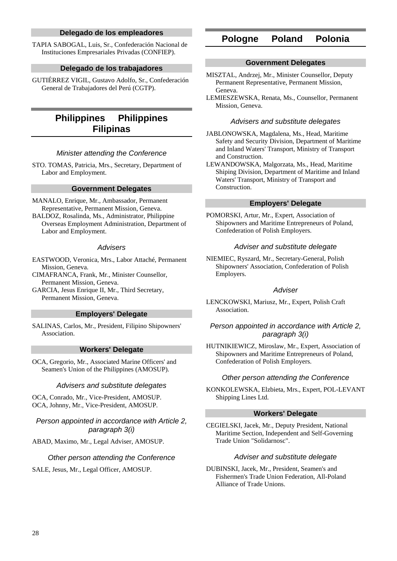## **Delegado de los empleadores**

TAPIA SABOGAL, Luis, Sr., Confederación Nacional de Instituciones Empresariales Privadas (CONFIEP).

## **Delegado de los trabajadores**

GUTIÉRREZ VIGIL, Gustavo Adolfo, Sr., Confederación General de Trabajadores del Perú (CGTP).

## **Philippines Philippines Filipinas**

## Minister attending the Conference

STO. TOMAS, Patricia, Mrs., Secretary, Department of Labor and Employment.

## **Government Delegates**

MANALO, Enrique, Mr., Ambassador, Permanent Representative, Permanent Mission, Geneva. BALDOZ, Rosalinda, Ms., Administrator, Philippine Overseas Employment Administration, Department of Labor and Employment.

### **Advisers**

EASTWOOD, Veronica, Mrs., Labor Attaché, Permanent Mission, Geneva.

CIMAFRANCA, Frank, Mr., Minister Counsellor, Permanent Mission, Geneva.

GARCIA, Jesus Enrique II, Mr., Third Secretary, Permanent Mission, Geneva.

## **Employers' Delegate**

SALINAS, Carlos, Mr., President, Filipino Shipowners' Association.

### **Workers' Delegate**

OCA, Gregorio, Mr., Associated Marine Officers' and Seamen's Union of the Philippines (AMOSUP).

### Advisers and substitute delegates

OCA, Conrado, Mr., Vice-President, AMOSUP. OCA, Johnny, Mr., Vice-President, AMOSUP.

Person appointed in accordance with Article 2, paragraph 3(i)

ABAD, Maximo, Mr., Legal Adviser, AMOSUP.

### Other person attending the Conference

SALE, Jesus, Mr., Legal Officer, AMOSUP.

## **Pologne Poland Polonia**

#### **Government Delegates**

- MISZTAL, Andrzej, Mr., Minister Counsellor, Deputy Permanent Representative, Permanent Mission, Geneva.
- LEMIESZEWSKA, Renata, Ms., Counsellor, Permanent Mission, Geneva.

#### Advisers and substitute delegates

JABLONOWSKA, Magdalena, Ms., Head, Maritime Safety and Security Division, Department of Maritime and Inland Waters' Transport, Ministry of Transport and Construction.

LEWANDOWSKA, Malgorzata, Ms., Head, Maritime Shiping Division, Department of Maritime and Inland Waters' Transport, Ministry of Transport and Construction.

## **Employers' Delegate**

POMORSKI, Artur, Mr., Expert, Association of Shipowners and Maritime Entrepreneurs of Poland, Confederation of Polish Employers.

#### Adviser and substitute delegate

NIEMIEC, Ryszard, Mr., Secretary-General, Polish Shipowners' Association, Confederation of Polish Employers.

### **Adviser**

LENCKOWSKI, Mariusz, Mr., Expert, Polish Craft Association.

## Person appointed in accordance with Article 2, paragraph 3(i)

HUTNIKIEWICZ, Miroslaw, Mr., Expert, Association of Shipowners and Maritime Entrepreneurs of Poland, Confederation of Polish Employers.

### Other person attending the Conference

KONKOLEWSKA, Elzbieta, Mrs., Expert, POL-LEVANT Shipping Lines Ltd.

## **Workers' Delegate**

CEGIELSKI, Jacek, Mr., Deputy President, National Maritime Section, Independent and Self-Governing Trade Union "Solidarnosc".

### Adviser and substitute delegate

DUBINSKI, Jacek, Mr., President, Seamen's and Fishermen's Trade Union Federation, All-Poland Alliance of Trade Unions.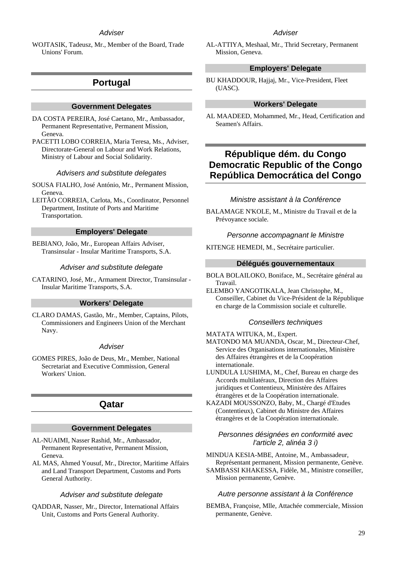## **Adviser**

WOJTASIK, Tadeusz, Mr., Member of the Board, Trade Unions' Forum.

## **Portugal**

#### **Government Delegates**

DA COSTA PEREIRA, José Caetano, Mr., Ambassador, Permanent Representative, Permanent Mission, Geneva.

PACETTI LOBO CORREIA, Maria Teresa, Ms., Adviser, Directorate-General on Labour and Work Relations, Ministry of Labour and Social Solidarity.

#### Advisers and substitute delegates

SOUSA FIALHO, José António, Mr., Permanent Mission, Geneva.

LEITÃO CORREIA, Carlota, Ms., Coordinator, Personnel Department, Institute of Ports and Maritime Transportation.

#### **Employers' Delegate**

BEBIANO, João, Mr., European Affairs Adviser, Transinsular - Insular Maritime Transports, S.A.

#### Adviser and substitute delegate

CATARINO, José, Mr., Armament Director, Transinsular - Insular Maritime Transports, S.A.

## **Workers' Delegate**

CLARO DAMAS, Gastão, Mr., Member, Captains, Pilots, Commissioners and Engineers Union of the Merchant Navy.

#### **Adviser**

GOMES PIRES, João de Deus, Mr., Member, National Secretariat and Executive Commission, General Workers' Union.

## **Qatar**

#### **Government Delegates**

- AL-NUAIMI, Nasser Rashid, Mr., Ambassador, Permanent Representative, Permanent Mission, Geneva.
- AL MAS, Ahmed Yousuf, Mr., Director, Maritime Affairs and Land Transport Department, Customs and Ports General Authority.

#### Adviser and substitute delegate

QADDAR, Nasser, Mr., Director, International Affairs Unit, Customs and Ports General Authority.

## **Adviser**

AL-ATTIYA, Meshaal, Mr., Thrid Secretary, Permanent Mission, Geneva.

### **Employers' Delegate**

BU KHADDOUR, Hajjaj, Mr., Vice-President, Fleet (UASC).

### **Workers' Delegate**

AL MAADEED, Mohammed, Mr., Head, Certification and Seamen's Affairs.

## **République dém. du Congo Democratic Republic of the Congo República Democrática del Congo**

## Ministre assistant à la Conférence

BALAMAGE N'KOLE, M., Ministre du Travail et de la Prévoyance sociale.

#### Personne accompagnant le Ministre

KITENGE HEMEDI, M., Secrétaire particulier.

### **Délégués gouvernementaux**

- BOLA BOLAILOKO, Boniface, M., Secrétaire général au Travail.
- ELEMBO YANGOTIKALA, Jean Christophe, M., Conseiller, Cabinet du Vice-Président de la République en charge de la Commission sociale et culturelle.

#### Conseillers techniques

MATATA WITUKA, M., Expert.

- MATONDO MA MUANDA, Oscar, M., Directeur-Chef, Service des Organisations internationales, Ministère des Affaires étrangères et de la Coopération internationale.
- LUNDULA LUSHIMA, M., Chef, Bureau en charge des Accords multilatéraux, Direction des Affaires juridiques et Contentieux, Ministère des Affaires étrangères et de la Coopération internationale.
- KAZADI MOUSSONZO, Baby, M., Chargé d'Etudes (Contentieux), Cabinet du Ministre des Affaires étrangères et de la Coopération internationale.

### Personnes désignées en conformité avec l'article 2, alinéa 3 i)

- MINDUA KESIA-MBE, Antoine, M., Ambassadeur, Représentant permanent, Mission permanente, Genève.
- SAMBASSI KHAKESSA, Fidèle, M., Ministre conseiller, Mission permanente, Genève.

#### Autre personne assistant à la Conférence

BEMBA, Françoise, Mlle, Attachée commerciale, Mission permanente, Genève.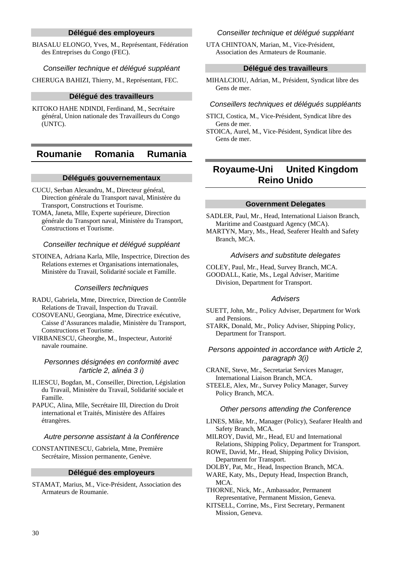## **Délégué des employeurs**

BIASALU ELONGO, Yves, M., Représentant, Fédération des Entreprises du Congo (FEC).

Conseiller technique et délégué suppléant

CHERUGA BAHIZI, Thierry, M., Représentant, FEC.

#### **Délégué des travailleurs**

KITOKO HAHE NDINDI, Ferdinand, M., Secrétaire général, Union nationale des Travailleurs du Congo (UNTC).

## **Roumanie Romania Rumania**

## **Délégués gouvernementaux**

- CUCU, Serban Alexandru, M., Directeur général, Direction générale du Transport naval, Ministère du Transport, Constructions et Tourisme.
- TOMA, Janeta, Mlle, Experte supérieure, Direction générale du Transport naval, Ministère du Transport, Constructions et Tourisme.

## Conseiller technique et déléqué suppléant

STOINEA, Adriana Karla, Mlle, Inspectrice, Direction des Relations externes et Organisations internationales, Ministère du Travail, Solidarité sociale et Famille.

### Conseillers techniques

- RADU, Gabriela, Mme, Directrice, Direction de Contrôle Relations de Travail, Inspection du Travail.
- COSOVEANU, Georgiana, Mme, Directrice exécutive, Caisse d'Assurances maladie, Ministère du Transport, Constructions et Tourisme.
- VIRBANESCU, Gheorghe, M., Inspecteur, Autorité navale roumaine.

#### Personnes désignées en conformité avec l'article 2, alinéa 3 i)

ILIESCU, Bogdan, M., Conseiller, Direction, Législation du Travail, Ministère du Travail, Solidarité sociale et Famille.

PAPUC, Alina, Mlle, Secrétaire III, Direction du Droit international et Traités, Ministère des Affaires étrangères.

#### Autre personne assistant à la Conférence

CONSTANTINESCU, Gabriela, Mme, Première Secrétaire, Mission permanente, Genève.

#### **Délégué des employeurs**

STAMAT, Marius, M., Vice-Président, Association des Armateurs de Roumanie.

## Conseiller technique et délégué suppléant

UTA CHINTOAN, Marian, M., Vice-Président, Association des Armateurs de Roumanie.

#### **Délégué des travailleurs**

MIHALCIOIU, Adrian, M., Président, Syndicat libre des Gens de mer.

### Conseillers techniques et délégués suppléants

- STICI, Costica, M., Vice-Président, Syndicat libre des Gens de mer.
- STOICA, Aurel, M., Vice-Pésident, Syndicat libre des Gens de mer.

## **Royaume-Uni United Kingdom Reino Unido**

## **Government Delegates**

SADLER, Paul, Mr., Head, International Liaison Branch, Maritime and Coastguard Agency (MCA).

MARTYN, Mary, Ms., Head, Seaferer Health and Safety Branch, MCA.

#### Advisers and substitute delegates

COLEY, Paul, Mr., Head, Survey Branch, MCA. GOODALL, Katie, Ms., Legal Adviser, Maritime Division, Department for Transport.

#### **Advisers**

- SUETT, John, Mr., Policy Adviser, Department for Work and Pensions.
- STARK, Donald, Mr., Policy Adviser, Shipping Policy, Department for Transport.

## Persons appointed in accordance with Article 2, paragraph 3(i)

CRANE, Steve, Mr., Secretariat Services Manager, International Liaison Branch, MCA.

STEELE, Alex, Mr., Survey Policy Manager, Survey Policy Branch, MCA.

## Other persons attending the Conference

- LINES, Mike, Mr., Manager (Policy), Seafarer Health and Safety Branch, MCA.
- MILROY, David, Mr., Head, EU and International Relations, Shipping Policy, Department for Transport.
- ROWE, David, Mr., Head, Shipping Policy Division, Department for Transport.
- DOLBY, Pat, Mr., Head, Inspection Branch, MCA.
- WARE, Katy, Ms., Deputy Head, Inspection Branch, MCA.

THORNE, Nick, Mr., Ambassador, Permanent Representative, Permanent Mission, Geneva.

KITSELL, Corrine, Ms., First Secretary, Permanent Mission, Geneva.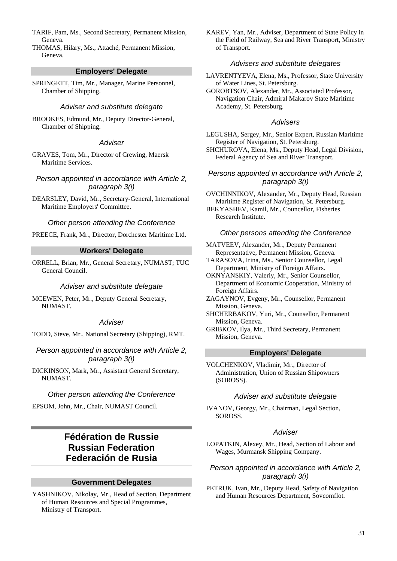- TARIF, Pam, Ms., Second Secretary, Permanent Mission, Geneva.
- THOMAS, Hilary, Ms., Attaché, Permanent Mission, Geneva.

## **Employers' Delegate**

SPRINGETT, Tim, Mr., Manager, Marine Personnel, Chamber of Shipping.

## Adviser and substitute delegate

BROOKES, Edmund, Mr., Deputy Director-General, Chamber of Shipping.

## **Adviser**

GRAVES, Tom, Mr., Director of Crewing, Maersk Maritime Services.

Person appointed in accordance with Article 2, paragraph 3(i)

DEARSLEY, David, Mr., Secretary-General, International Maritime Employers' Committee.

Other person attending the Conference

PREECE, Frank, Mr., Director, Dorchester Maritime Ltd.

### **Workers' Delegate**

ORRELL, Brian, Mr., General Secretary, NUMAST; TUC General Council.

### Adviser and substitute delegate

MCEWEN, Peter, Mr., Deputy General Secretary, NUMAST.

#### Adviser

TODD, Steve, Mr., National Secretary (Shipping), RMT.

Person appointed in accordance with Article 2, paragraph 3(i)

DICKINSON, Mark, Mr., Assistant General Secretary, NUMAST.

### Other person attending the Conference

EPSOM, John, Mr., Chair, NUMAST Council.

## **Fédération de Russie Russian Federation Federación de Rusia**

### **Government Delegates**

YASHNIKOV, Nikolay, Mr., Head of Section, Department of Human Resources and Special Programmes, Ministry of Transport.

KAREV, Yan, Mr., Adviser, Department of State Policy in the Field of Railway, Sea and River Transport, Ministry of Transport.

### Advisers and substitute delegates

LAVRENTYEVA, Elena, Ms., Professor, State University of Water Lines, St. Petersburg.

GOROBTSOV, Alexander, Mr., Associated Professor, Navigation Chair, Admiral Makarov State Maritime Academy, St. Petersburg.

## Advisers

- LEGUSHA, Sergey, Mr., Senior Expert, Russian Maritime Register of Navigation, St. Petersburg.
- SHCHUROVA, Elena, Ms., Deputy Head, Legal Division, Federal Agency of Sea and River Transport.

## Persons appointed in accordance with Article 2, paragraph 3(i)

OVCHINNIKOV, Alexander, Mr., Deputy Head, Russian Maritime Register of Navigation, St. Petersburg.

BEKYASHEV, Kamil, Mr., Councellor, Fisheries Research Institute.

#### Other persons attending the Conference

MATVEEV, Alexander, Mr., Deputy Permanent Representative, Permanent Mission, Geneva.

TARASOVA, Irina, Ms., Senior Counsellor, Legal Department, Ministry of Foreign Affairs.

- OKNYANSKIY, Valeriy, Mr., Senior Counsellor, Department of Economic Cooperation, Ministry of Foreign Affairs.
- ZAGAYNOV, Evgeny, Mr., Counsellor, Permanent Mission, Geneva.
- SHCHERBAKOV, Yuri, Mr., Counsellor, Permanent Mission, Geneva.
- GRIBKOV, Ilya, Mr., Third Secretary, Permanent Mission, Geneva.

## **Employers' Delegate**

VOLCHENKOV, Vladimir, Mr., Director of Administration, Union of Russian Shipowners (SOROSS).

#### Adviser and substitute delegate

IVANOV, Georgy, Mr., Chairman, Legal Section, SOROSS.

### **Adviser**

LOPATKIN, Alexey, Mr., Head, Section of Labour and Wages, Murmansk Shipping Company.

## Person appointed in accordance with Article 2, paragraph 3(i)

PETRUK, Ivan, Mr., Deputy Head, Safety of Navigation and Human Resources Department, Sovcomflot.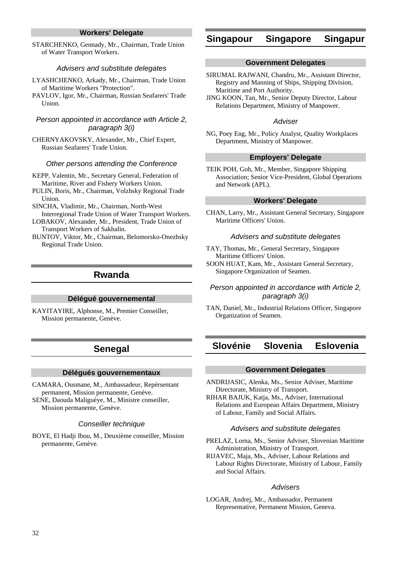## **Workers' Delegate**

STARCHENKO, Gennady, Mr., Chairman, Trade Union of Water Transport Workers.

#### Advisers and substitute delegates

- LYASHCHENKO, Arkady, Mr., Chairman, Trade Union of Maritime Workers "Protection".
- PAVLOV, Igor, Mr., Chairman, Russian Seafarers' Trade Union.

## Person appointed in accordance with Article 2, paragraph 3(i)

CHERNYAKOVSKY, Alexander, Mr., Chief Expert, Russian Seafarers' Trade Union.

### Other persons attending the Conference

- KEPP, Valentin, Mr., Secretary General, Federation of Maritime, River and Fishery Workers Union.
- PULIN, Boris, Mr., Chairman, Volzhsky Regional Trade Union.
- SINCHA, Vladimir, Mr., Chairman, North-West Interregional Trade Union of Water Transport Workers.
- LOBAKOV, Alexander, Mr., President, Trade Union of Transport Workers of Sakhalin.
- BUNTOV, Viktor, Mr., Chairman, Belomorsko-Onezhsky Regional Trade Union.

## **Rwanda**

#### **Délégué gouvernemental**

KAYITAYIRE, Alphonse, M., Premier Conseiller, Mission permanente, Genève.

## **Senegal**

#### **Délégués gouvernementaux**

CAMARA, Ousmane, M., Ambassadeur, Repérsentant permanent, Mission permanente, Genève. SENE, Daouda Maliguèye, M., Ministre conseiller, Mission permanente, Genève.

#### Conseiller technique

BOYE, El Hadji Ibou, M., Deuxième conseiller, Mission permanente, Genève.

## **Singapour Singapore Singapur**

#### **Government Delegates**

- SIRUMAL RAJWANI, Chandru, Mr., Assistant Director, Registry and Manning of Ships, Shipping Division, Maritime and Port Authority.
- JING KOON, Tan, Mr., Senior Deputy Director, Labour Relations Department, Ministry of Manpower.

#### **Adviser**

NG, Poey Eng, Mr., Policy Analyst, Quality Workplaces Department, Ministry of Manpower.

### **Employers' Delegate**

TEIK POH, Goh, Mr., Member, Singapore Shipping Association; Senior Vice-President, Global Operations and Network (APL).

## **Workers' Delegate**

CHAN, Larry, Mr., Assistant General Secretary, Singapore Maritime Officers' Union.

## Advisers and substitute delegates

- TAY, Thomas, Mr., General Secretary, Singapore Maritime Officers' Union.
- SOON HUAT, Kam, Mr., Assistant General Secretary, Singapore Organization of Seamen.

## Person appointed in accordance with Article 2, paragraph 3(i)

TAN, Daniel, Mr., Industrial Relations Officer, Singapore Organization of Seamen.

## **Slovénie Slovenia Eslovenia**

#### **Government Delegates**

- ANDRIJASIC, Alenka, Ms., Senior Adviser, Maritime Directorate, Ministry of Transport.
- RIHAR BAJUK, Katja, Ms., Adviser, International Relations and European Affairs Department, Ministry of Labour, Family and Social Affairs.

#### Advisers and substitute delegates

- PRELAZ, Lorna, Ms., Senior Adviser, Slovenian Maritime Administration, Ministry of Transport.
- RIJAVEC, Maja, Ms., Adviser, Labour Relations and Labour Rights Directorate, Ministry of Labour, Family and Social Affairs.

## Advisers

LOGAR, Andrej, Mr., Ambassador, Permanent Representative, Permanent Mission, Geneva.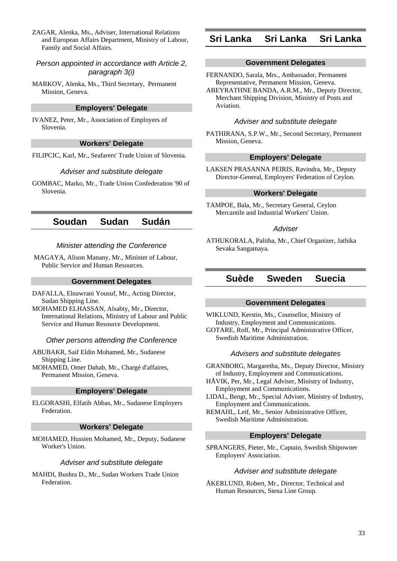ZAGAR, Alenka, Ms., Adviser, International Relations and European Affairs Department, Ministry of Labour, Family and Social Affairs.

## Person appointed in accordance with Article 2, paragraph 3(i)

MARKOV, Alenka, Ms., Third Secretary, Permanent Mission, Geneva.

## **Employers' Delegate**

IVANEZ, Peter, Mr., Association of Employers of Slovenia.

## **Workers' Delegate**

FILIPCIC, Karl, Mr., Seafarers' Trade Union of Slovenia.

## Adviser and substitute delegate

GOMBAC, Marko, Mr., Trade Union Confederation '90 of Slovenia.

## **Soudan Sudan Sudán**

## Minister attending the Conference

 MAGAYA, Alison Manany, Mr., Minister of Labour, Public Service and Human Resources.

## **Government Delegates**

DAFALLA, Elnawrani Yousuf, Mr., Acting Director, Sudan Shipping Line.

MOHAMED ELHASSAN, Alsabty, Mr., Director, International Relations, Ministry of Labour and Public Service and Human Resource Development.

### Other persons attending the Conference

ABUBAKR, Saif Eldin Mohamed, Mr., Sudanese Shipping Line.

MOHAMED, Omer Dahab, Mr., Chargé d'affaires, Permanent Mission, Geneva.

## **Employers' Delegate**

ELGORASHI, Elfatih Abbas, Mr., Sudanese Employers Federation.

### **Workers' Delegate**

MOHAMED, Hussien Mohamed, Mr., Deputy, Sudanese Worker's Union.

### Adviser and substitute delegate

MAHDI, Bushra D., Mr., Sudan Workers Trade Union Federation.

## **Sri Lanka Sri Lanka Sri Lanka**

### **Government Delegates**

- FERNANDO, Sarala, Mrs., Ambassador, Permanent Representative, Permanent Mission, Geneva.
- ABEYRATHNE BANDA, A.R.M., Mr., Deputy Director, Merchant Shipping Division, Ministry of Posts and Aviation.

### Adviser and substitute delegate

PATHIRANA, S.P.W., Mr., Second Secretary, Permanent Mission, Geneva.

### **Employers' Delegate**

LAKSEN PRASANNA PEIRIS, Ravindra, Mr., Deputy Director-General, Employers' Federation of Ceylon.

## **Workers' Delegate**

TAMPOE, Bala, Mr., Secretary General, Ceylon Mercantile and Industrial Workers' Union.

### **Adviser**

ATHUKORALA, Palitha, Mr., Chief Organizer, Jathika Sevaka Sangamaya.

## **Suède Sweden Suecia**

## **Government Delegates**

WIKLUND, Kerstin, Ms., Counsellor, Ministry of Industry, Employment and Communications. GOTARE, Rolf, Mr., Principal Administrative Officer, Swedish Maritime Administration.

## Advisers and substitute delegates

GRANBORG, Margaretha, Ms., Deputy Director, Ministry of Industry, Employment and Communications.

HÅVIK, Per, Mr., Legal Adviser, Ministry of Industry, Employment and Communications.

LIDAL, Bengt, Mr., Special Adviser, Ministry of Industry, Employment and Communications.

REMAHL, Leif, Mr., Senior Administrative Officer, Swedish Maritime Administration.

## **Employers' Delegate**

SPRANGERS, Pieter, Mr., Captain, Swedish Shipowner Employers' Association.

### Adviser and substitute delegate

ÅKERLUND, Robert, Mr., Director, Technical and Human Resources, Stena Line Group.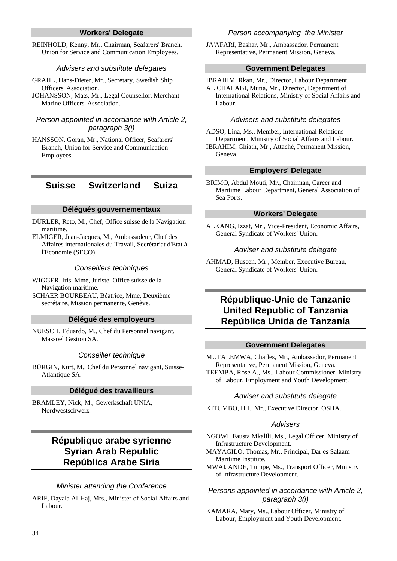## **Workers' Delegate**

REINHOLD, Kenny, Mr., Chairman, Seafarers' Branch, Union for Service and Communication Employees.

#### Advisers and substitute delegates

- GRAHL, Hans-Dieter, Mr., Secretary, Swedish Ship Officers' Association.
- JOHANSSON, Mats, Mr., Legal Counsellor, Merchant Marine Officers' Association.

## Person appointed in accordance with Article 2, paragraph 3(i)

HANSSON, Göran, Mr., National Officer, Seafarers' Branch, Union for Service and Communication Employees.

## **Suisse Switzerland Suiza**

#### **Délégués gouvernementaux**

- DÜRLER, Reto, M., Chef, Office suisse de la Navigation maritime.
- ELMIGER, Jean-Jacques, M., Ambassadeur, Chef des Affaires internationales du Travail, Secrétariat d'Etat à l'Economie (SECO).

#### Conseillers techniques

- WIGGER, Iris, Mme, Juriste, Office suisse de la Navigation maritime.
- SCHAER BOURBEAU, Béatrice, Mme, Deuxième secrétaire, Mission permanente, Genève.

#### **Délégué des employeurs**

NUESCH, Eduardo, M., Chef du Personnel navigant, Massoel Gestion SA.

#### Conseiller technique

BÜRGIN, Kurt, M., Chef du Personnel navigant, Suisse-Atlantique SA.

#### **Délégué des travailleurs**

BRAMLEY, Nick, M., Gewerkschaft UNIA, Nordwestschweiz.

## **République arabe syrienne Syrian Arab Republic República Arabe Siria**

#### Minister attending the Conference

ARIF, Dayala Al-Haj, Mrs., Minister of Social Affairs and Labour.

#### Person accompanying the Minister

JA'AFARI, Bashar, Mr., Ambassador, Permanent Representative, Permanent Mission, Geneva.

#### **Government Delegates**

IBRAHIM, Rkan, Mr., Director, Labour Department. AL CHALABI, Mutia, Mr., Director, Department of International Relations, Ministry of Social Affairs and Labour.

#### Advisers and substitute delegates

ADSO, Lina, Ms., Member, International Relations Department, Ministry of Social Affairs and Labour. IBRAHIM, Ghiath, Mr., Attaché, Permanent Mission, Geneva.

#### **Employers' Delegate**

BRIMO, Abdul Mouti, Mr., Chairman, Career and Maritime Labour Department, General Association of Sea Ports.

#### **Workers' Delegate**

ALKANG, Izzat, Mr., Vice-President, Economic Affairs, General Syndicate of Workers' Union.

#### Adviser and substitute delegate

AHMAD, Huseen, Mr., Member, Executive Bureau, General Syndicate of Workers' Union.

## **République-Unie de Tanzanie United Republic of Tanzania República Unida de Tanzanía**

#### **Government Delegates**

MUTALEMWA, Charles, Mr., Ambassador, Permanent Representative, Permanent Mission, Geneva. TEEMBA, Rose A., Ms., Labour Commissioner, Ministry of Labour, Employment and Youth Development.

#### Adviser and substitute delegate

KITUMBO, H.I., Mr., Executive Director, OSHA.

#### Advisers

- NGOWI, Fausta Mkalili, Ms., Legal Officer, Ministry of Infrastructure Development.
- MAYAGILO, Thomas, Mr., Principal, Dar es Salaam Maritime Institute.
- MWAIJANDE, Tumpe, Ms., Transport Officer, Ministry of Infrastructure Development.

## Persons appointed in accordance with Article 2, paragraph 3(i)

KAMARA, Mary, Ms., Labour Officer, Ministry of Labour, Employment and Youth Development.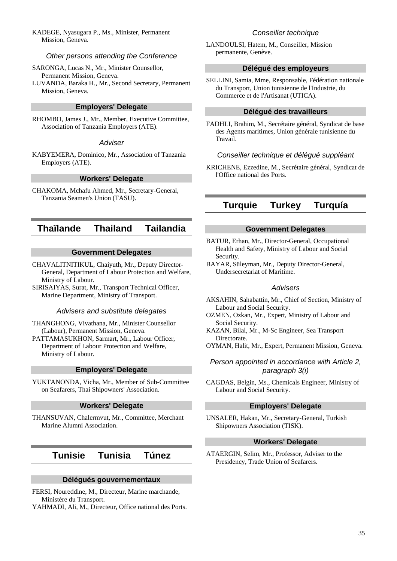KADEGE, Nyasugara P., Ms., Minister, Permanent Mission, Geneva.

#### Other persons attending the Conference

SARONGA, Lucas N., Mr., Minister Counsellor, Permanent Mission, Geneva.

LUVANDA, Baraka H., Mr., Second Secretary, Permanent Mission, Geneva.

## **Employers' Delegate**

RHOMBO, James J., Mr., Member, Executive Committee, Association of Tanzania Employers (ATE).

## **Adviser**

KABYEMERA, Dominico, Mr., Association of Tanzania Employers (ATE).

### **Workers' Delegate**

CHAKOMA, Mchafu Ahmed, Mr., Secretary-General, Tanzania Seamen's Union (TASU).

## **Thaïlande Thailand Tailandia**

## **Government Delegates**

CHAVALITNITIKUL, Chaiyuth, Mr., Deputy Director-General, Department of Labour Protection and Welfare, Ministry of Labour.

SIRISAIYAS, Surat, Mr., Transport Technical Officer, Marine Department, Ministry of Transport.

## Advisers and substitute delegates

THANGHONG, Vivathana, Mr., Minister Counsellor (Labour), Permanent Mission, Geneva.

PATTAMASUKHON, Sarmart, Mr., Labour Officer, Department of Labour Protection and Welfare, Ministry of Labour.

#### **Employers' Delegate**

YUKTANONDA, Vicha, Mr., Member of Sub-Committee on Seafarers, Thai Shipowners' Association.

### **Workers' Delegate**

THANSUVAN, Chalermvut, Mr., Committee, Merchant Marine Alumni Association.

## **Tunisie Tunisia Túnez**

### **Délégués gouvernementaux**

FERSI, Noureddine, M., Directeur, Marine marchande, Ministère du Transport.

YAHMADI, Ali, M., Directeur, Office national des Ports.

## Conseiller technique

LANDOULSI, Hatem, M., Conseiller, Mission permanente, Genève.

#### **Délégué des employeurs**

SELLINI, Samia, Mme, Responsable, Fédération nationale du Transport, Union tunisienne de l'Industrie, du Commerce et de l'Artisanat (UTICA).

#### **Délégué des travailleurs**

FADHLI, Brahim, M., Secrétaire général, Syndicat de base des Agents maritimes, Union générale tunisienne du Travail.

#### Conseiller technique et délégué suppléant

KRICHENE, Ezzedine, M., Secrétaire général, Syndicat de l'Office national des Ports.

## **Turquie Turkey Turquía**

### **Government Delegates**

BATUR, Erhan, Mr., Director-General, Occupational Health and Safety, Ministry of Labour and Social Security.

BAYAR, Süleyman, Mr., Deputy Director-General, Undersecretariat of Maritime.

### Advisers

AKSAHIN, Sahabattin, Mr., Chief of Section, Ministry of Labour and Social Security.

OZMEN, Ozkan, Mr., Expert, Ministry of Labour and Social Security.

KAZAN, Bilal, Mr., M-Sc Engineer, Sea Transport Directorate.

OYMAN, Halit, Mr., Expert, Permanent Mission, Geneva.

## Person appointed in accordance with Article 2, paragraph 3(i)

CAGDAS, Belgin, Ms., Chemicals Engineer, Ministry of Labour and Social Security.

### **Employers' Delegate**

UNSALER, Hakan, Mr., Secretary-General, Turkish Shipowners Association (TISK).

## **Workers' Delegate**

ATAERGIN, Selim, Mr., Professor, Adviser to the Presidency, Trade Union of Seafarers.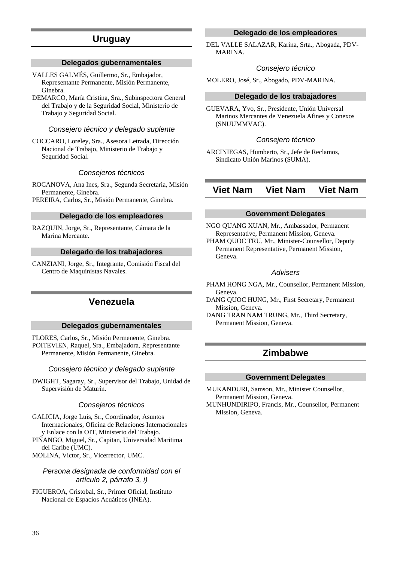## **Uruguay**

## **Delegados gubernamentales**

- VALLES GALMÉS, Guillermo, Sr., Embajador, Representante Permanente, Misión Permanente, Ginebra.
- DEMARCO, María Cristina, Sra., Subinspectora General del Trabajo y de la Seguridad Social, Ministerio de Trabajo y Seguridad Social.

## Consejero técnico y delegado suplente

COCCARO, Loreley, Sra., Asesora Letrada, Dirección Nacional de Trabajo, Ministerio de Trabajo y Seguridad Social.

## Consejeros técnicos

ROCANOVA, Ana Ines, Sra., Segunda Secretaria, Misión Permanente, Ginebra.

PEREIRA, Carlos, Sr., Misión Permanente, Ginebra.

## **Delegado de los empleadores**

RAZQUIN, Jorge, Sr., Representante, Cámara de la Marina Mercante.

### **Delegado de los trabajadores**

CANZIANI, Jorge, Sr., Integrante, Comisión Fiscal del Centro de Maquinistas Navales.

## **Venezuela**

## **Delegados gubernamentales**

FLORES, Carlos, Sr., Misión Permenente, Ginebra. POITEVIEN, Raquel, Sra., Embajadora, Representante Permanente, Misión Permanente, Ginebra.

### Consejero técnico y delegado suplente

DWIGHT, Sagaray, Sr., Supervisor del Trabajo, Unidad de Supervisión de Maturín.

### Consejeros técnicos

GALICIA, Jorge Luis, Sr., Coordinador, Asuntos Internacionales, Oficina de Relaciones Internacionales y Enlace con la OIT, Ministerio del Trabajo.

PIÑANGO, Miguel, Sr., Capitan, Universidad Maritima del Caribe (UMC).

MOLINA, Victor, Sr., Vicerrector, UMC.

### Persona designada de conformidad con el artículo 2, párrafo 3, i)

FIGUEROA, Cristobal, Sr., Primer Oficial, Instituto Nacional de Espacios Acuáticos (INEA).

## **Delegado de los empleadores**

DEL VALLE SALAZAR, Karina, Srta., Abogada, PDV-MARINA.

#### Consejero técnico

MOLERO, José, Sr., Abogado, PDV-MARINA.

## **Delegado de los trabajadores**

GUEVARA, Yvo, Sr., Presidente, Unión Universal Marinos Mercantes de Venezuela Afines y Conexos (SNUUMMVAC).

### Consejero técnico

ARCINIEGAS, Humberto, Sr., Jefe de Reclamos, Sindicato Unión Marinos (SUMA).

## **Viet Nam Viet Nam Viet Nam**

#### **Government Delegates**

NGO QUANG XUAN, Mr., Ambassador, Permanent Representative, Permanent Mission, Geneva.

PHAM QUOC TRU, Mr., Minister-Counsellor, Deputy Permanent Representative, Permanent Mission, Geneva.

#### **Advisers**

PHAM HONG NGA, Mr., Counsellor, Permanent Mission, Geneva.

DANG QUOC HUNG, Mr., First Secretary, Permanent Mission, Geneva.

DANG TRAN NAM TRUNG, Mr., Third Secretary, Permanent Mission, Geneva.

## **Zimbabwe**

#### **Government Delegates**

MUKANDURI, Samson, Mr., Minister Counsellor, Permanent Mission, Geneva.

MUNHUNDIRIPO, Francis, Mr., Counsellor, Permanent Mission, Geneva.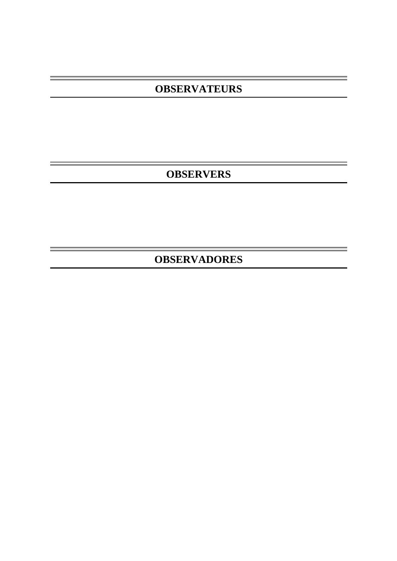# **OBSERVATEURS**

**OBSERVERS** 

i<br>1990 - Johann Barnett, frysk skriuwer<br>1990 - Johann Barnett, frysk skriuwer

÷.

**OBSERVADORES**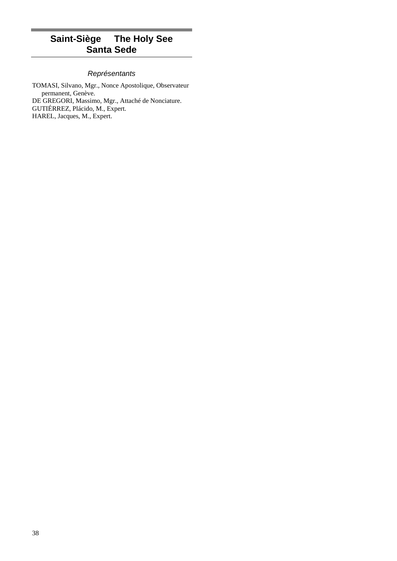# **Saint-Siège The Holy See Santa Sede**

## **Représentants**

TOMASI, Silvano, Mgr., Nonce Apostolique, Observateur permanent, Genève. DE GREGORI, Massimo, Mgr., Attaché de Nonciature. GUTIÉRREZ, Plácido, M., Expert. HAREL, Jacques, M., Expert.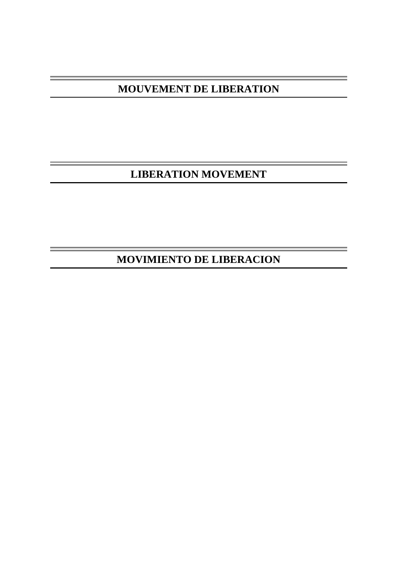**MOUVEMENT DE LIBERATION** 

**LIBERATION MOVEMENT** 

**MOVIMIENTO DE LIBERACION**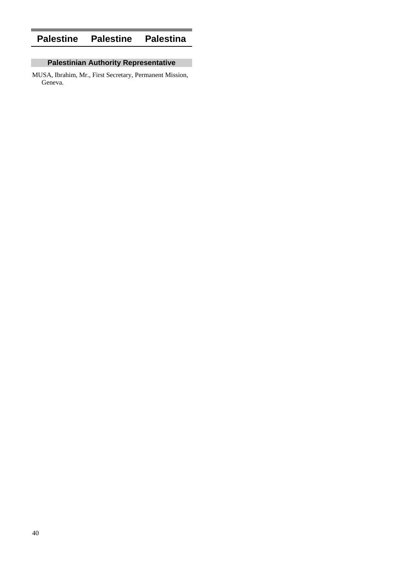# **Palestine Palestine Palestina**

## **Palestinian Authority Representative**

MUSA, Ibrahim, Mr., First Secretary, Permanent Mission, Geneva.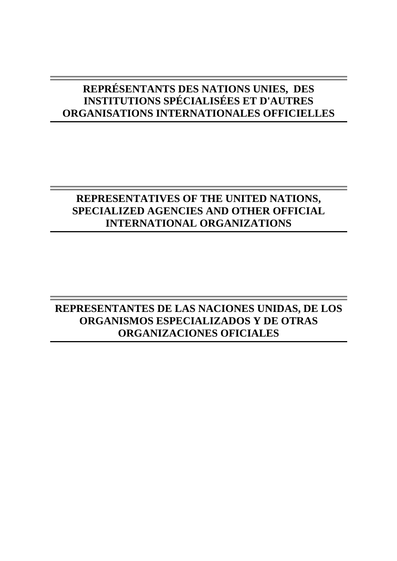# **REPRÉSENTANTS DES NATIONS UNIES, DES INSTITUTIONS SPÉCIALISÉES ET D'AUTRES ORGANISATIONS INTERNATIONALES OFFICIELLES**

# **REPRESENTATIVES OF THE UNITED NATIONS, SPECIALIZED AGENCIES AND OTHER OFFICIAL INTERNATIONAL ORGANIZATIONS**

# **REPRESENTANTES DE LAS NACIONES UNIDAS, DE LOS ORGANISMOS ESPECIALIZADOS Y DE OTRAS ORGANIZACIONES OFICIALES**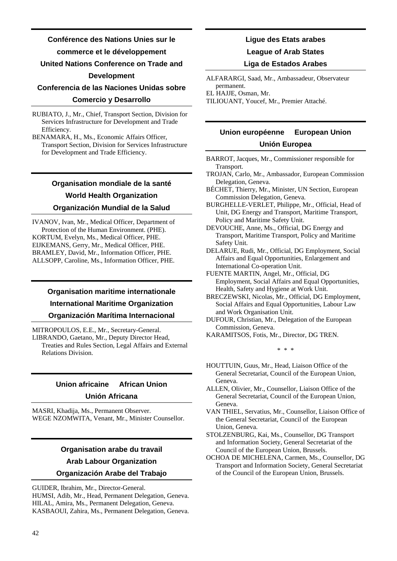## **Conférence des Nations Unies sur le**

## **commerce et le développement**

## **United Nations Conference on Trade and**

## **Development**

## **Conferencia de las Naciones Unidas sobre**

## **Comercio y Desarrollo**

RUBIATO, J., Mr., Chief, Transport Section, Division for Services Infrastructure for Development and Trade Efficiency.

BENAMARA, H., Ms., Economic Affairs Officer, Transport Section, Division for Services Infrastructure for Development and Trade Efficiency.

## **Organisation mondiale de la santé World Health Organization Organización Mundial de la Salud**

IVANOV, Ivan, Mr., Medical Officer, Department of Protection of the Human Environment. (PHE). KORTUM, Evelyn, Ms., Medical Officer, PHE. EIJKEMANS, Gerry, Mr., Medical Officer, PHE. BRAMLEY, David, Mr., Information Officer, PHE. ALLSOPP, Caroline, Ms., Information Officer, PHE.

## **Organisation maritime internationale International Maritime Organization Organización Marítima Internacional**

MITROPOULOS, E.E., Mr., Secretary-General. LIBRANDO, Gaetano, Mr., Deputy Director Head, Treaties and Rules Section, Legal Affairs and External Relations Division.

## **Union africaine African Union Unión Africana**

MASRI, Khadija, Ms., Permanent Observer. WEGE NZOMWITA, Venant, Mr., Minister Counsellor.

# **Organisation arabe du travail Arab Labour Organization**

## **Organización Arabe del Trabajo**

GUIDER, Ibrahim, Mr., Director-General.

HUMSI, Adib, Mr., Head, Permanent Delegation, Geneva. HILAL, Amira, Ms., Permanent Delegation, Geneva. KASBAOUI, Zahira, Ms., Permanent Delegation, Geneva.

# **Ligue des Etats arabes**

## **League of Arab States**

## **Liga de Estados Arabes**

ALFARARGI, Saad, Mr., Ambassadeur, Observateur permanent.

EL HAJJE, Osman, Mr.

TILIOUANT, Youcef, Mr., Premier Attaché.

## **Union européenne European Union Unión Europea**

- BARROT, Jacques, Mr., Commissioner responsible for Transport.
- TROJAN, Carlo, Mr., Ambassador, European Commission Delegation, Geneva.
- BÉCHET, Thierry, Mr., Minister, UN Section, European Commission Delegation, Geneva.
- BURGHELLE-VERLET, Philippe, Mr., Official, Head of Unit, DG Energy and Transport, Maritime Transport, Policy and Maritime Safety Unit.
- DEVOUCHE, Anne, Ms., Official, DG Energy and Transport, Maritime Transport, Policy and Maritime Safety Unit.
- DELARUE, Rudi, Mr., Official, DG Employment, Social Affairs and Equal Opportunities, Enlargement and International Co-operation Unit.
- FUENTE MARTIN, Angel, Mr., Official, DG Employment, Social Affairs and Equal Opportunities, Health, Safety and Hygiene at Work Unit.
- BRECZEWSKI, Nicolas, Mr., Official, DG Employment, Social Affairs and Equal Opportunities, Labour Law and Work Organisation Unit.
- DUFOUR, Christian, Mr., Delegation of the European Commission, Geneva.
- KARAMITSOS, Fotis, Mr., Director, DG TREN.

\* \* \*

- HOUTTUIN, Guus, Mr., Head, Liaison Office of the General Secretariat, Council of the European Union, Geneva.
- ALLEN, Olivier, Mr., Counsellor, Liaison Office of the General Secretariat, Council of the European Union, Geneva.
- VAN THIEL, Servatius, Mr., Counsellor, Liaison Office of the General Secretariat, Council of the European Union, Geneva.
- STOLZENBURG, Kai, Ms., Counsellor, DG Transport and Information Society, General Secretariat of the Council of the European Union, Brussels.
- OCHOA DE MICHELENA, Carmen, Ms., Counsellor, DG Transport and Information Society, General Secretariat of the Council of the European Union, Brussels.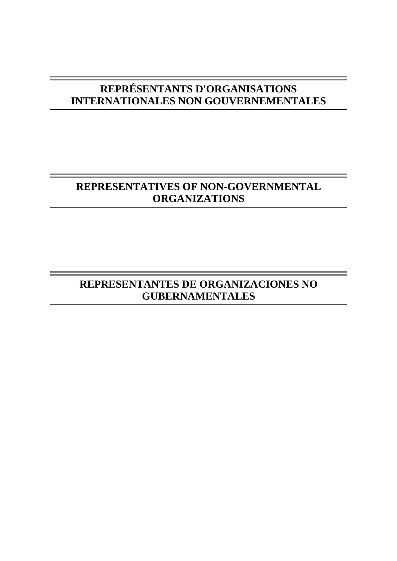# **REPRÉSENTANTS D'ORGANISATIONS INTERNATIONALES NON GOUVERNEMENTALES**

# **REPRESENTATIVES OF NON-GOVERNMENTAL ORGANIZATIONS**

# **REPRESENTANTES DE ORGANIZACIONES NO GUBERNAMENTALES**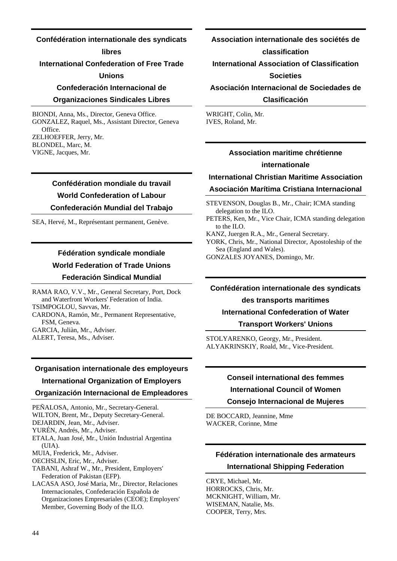## **Confédération internationale des syndicats**

#### **libres**

## **International Confederation of Free Trade**

## **Unions**

## **Confederación Internacional de**

### **Organizaciones Sindicales Libres**

BIONDI, Anna, Ms., Director, Geneva Office. GONZALEZ, Raquel, Ms., Assistant Director, Geneva **Office** ZELHOEFFER, Jerry, Mr. BLONDEL, Marc, M. VIGNE, Jacques, Mr.

# **Confédération mondiale du travail World Confederation of Labour**

## **Confederación Mundial del Trabajo**

SEA, Hervé, M., Représentant permanent, Genève.

## **Fédération syndicale mondiale World Federation of Trade Unions Federación Sindical Mundial**

RAMA RAO, V.V., Mr., General Secretary, Port, Dock and Waterfront Workers' Federation of India. TSIMPOGLOU, Savvas, Mr. CARDONA, Ramón, Mr., Permanent Representative, FSM, Geneva. GARCIA, Juliàn, Mr., Adviser. ALERT, Teresa, Ms., Adviser.

#### **Organisation internationale des employeurs**

#### **International Organization of Employers**

#### **Organización Internacional de Empleadores**

PEÑALOSA, Antonio, Mr., Secretary-General.

WILTON, Brent, Mr., Deputy Secretary-General.

DEJARDIN, Jean, Mr., Adviser.

YURÉN, Andrés, Mr., Adviser.

ETALA, Juan José, Mr., Unión Industrial Argentina (UIA).

MUIA, Frederick, Mr., Adviser.

OECHSLIN, Eric, Mr., Adviser.

TABANI, Ashraf W., Mr., President, Employers' Federation of Pakistan (EFP).

LACASA ASO, José Maria, Mr., Director, Relaciones Internacionales, Confederación Española de Organizaciones Empresariales (CEOE); Employers' Member, Governing Body of the ILO.

# **Association internationale des sociétés de**

## **classification**

## **International Association of Classification**

## **Societies**

## **Asociación Internacional de Sociedades de Clasificación**

WRIGHT, Colin, Mr. IVES, Roland, Mr.

## **Association maritime chrétienne internationale**

## **International Christian Maritime Association Asociación Marítima Cristiana Internacional**

STEVENSON, Douglas B., Mr., Chair; ICMA standing delegation to the ILO.

PETERS, Ken, Mr., Vice Chair, ICMA standing delegation to the ILO.

KANZ, Juergen R.A., Mr., General Secretary.

YORK, Chris, Mr., National Director, Apostoleship of the Sea (England and Wales).

GONZALES JOYANES, Domingo, Mr.

## **Confédération internationale des syndicats**

#### **des transports maritimes**

## **International Confederation of Water**

**Transport Workers' Unions** 

STOLYARENKO, Georgy, Mr., President. ALYAKRINSKIY, Roald, Mr., Vice-President.

## **Conseil international des femmes**

## **International Council of Women**

**Consejo Internacional de Mujeres** 

DE BOCCARD, Jeannine, Mme WACKER, Corinne, Mme

## **Fédération internationale des armateurs International Shipping Federation**

CRYE, Michael, Mr. HORROCKS, Chris, Mr. MCKNIGHT, William, Mr. WISEMAN, Natalie, Ms. COOPER, Terry, Mrs.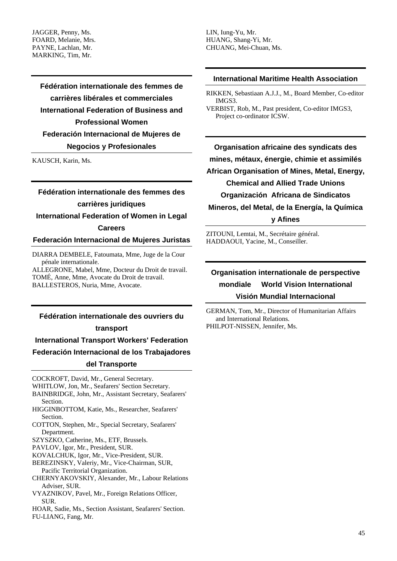JAGGER, Penny, Ms. FOARD, Melanie, Mrs. PAYNE, Lachlan, Mr. MARKING, Tim, Mr.

> **Fédération internationale des femmes de carrières libérales et commerciales International Federation of Business and Professional Women Federación Internacional de Mujeres de Negocios y Profesionales**

KAUSCH, Karin, Ms.

# **Fédération internationale des femmes des carrières juridiques**

**International Federation of Women in Legal Careers** 

## **Federación Internacional de Mujeres Juristas**

DIARRA DEMBELE, Fatoumata, Mme, Juge de la Cour pénale internationale.

ALLEGRONE, Mabel, Mme, Docteur du Droit de travail. TOMÉ, Anne, Mme, Avocate du Droit de travail. BALLESTEROS, Nuria, Mme, Avocate.

### **Fédération internationale des ouvriers du**

### **transport**

**International Transport Workers' Federation** 

**Federación Internacional de los Trabajadores** 

### **del Transporte**

- COCKROFT, David, Mr., General Secretary.
- WHITLOW, Jon, Mr., Seafarers' Section Secretary.
- BAINBRIDGE, John, Mr., Assistant Secretary, Seafarers' Section.
- HIGGINBOTTOM, Katie, Ms., Researcher, Seafarers' Section.
- COTTON, Stephen, Mr., Special Secretary, Seafarers' Department.
- SZYSZKO, Catherine, Ms., ETF, Brussels.
- PAVLOV, Igor, Mr., President, SUR.
- KOVALCHUK, Igor, Mr., Vice-President, SUR.
- BEREZINSKY, Valeriy, Mr., Vice-Chairman, SUR, Pacific Territorial Organization.
- CHERNYAKOVSKIY, Alexander, Mr., Labour Relations Adviser, SUR.
- VYAZNIKOV, Pavel, Mr., Foreign Relations Officer, SUR.
- HOAR, Sadie, Ms., Section Assistant, Seafarers' Section. FU-LIANG, Fang, Mr.

LIN, Iung-Yu, Mr. HUANG, Shang-Yi, Mr. CHUANG, Mei-Chuan, Ms.

## **International Maritime Health Association**

- RIKKEN, Sebastiaan A.J.J., M., Board Member, Co-editor IMGS3.
- VERBIST, Rob, M., Past president, Co-editor IMGS3, Project co-ordinator ICSW.

**Organisation africaine des syndicats des mines, métaux, énergie, chimie et assimilés African Organisation of Mines, Metal, Energy, Chemical and Allied Trade Unions Organización Africana de Sindicatos Mineros, del Metal, de la Energía, la Química y Afines** 

ZITOUNI, Lemtai, M., Secrétaire général. HADDAOUI, Yacine, M., Conseiller.

## **Organisation internationale de perspective mondiale World Vision International Visión Mundial Internacional**

GERMAN, Tom, Mr., Director of Humanitarian Affairs and International Relations. PHILPOT-NISSEN, Jennifer, Ms.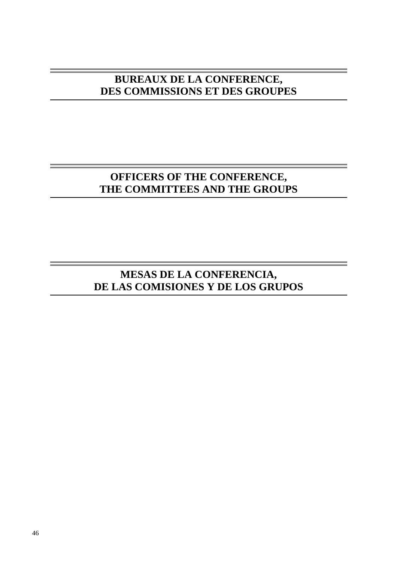# **BUREAUX DE LA CONFERENCE, DES COMMISSIONS ET DES GROUPES**

# **OFFICERS OF THE CONFERENCE, THE COMMITTEES AND THE GROUPS**

# **MESAS DE LA CONFERENCIA, DE LAS COMISIONES Y DE LOS GRUPOS**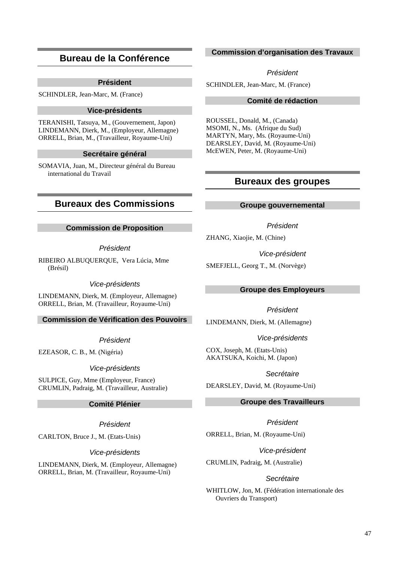## **Bureau de la Conférence**

## **Président**

SCHINDLER, Jean-Marc, M. (France)

### **Vice-présidents**

TERANISHI, Tatsuya, M., (Gouvernement, Japon) LINDEMANN, Dierk, M., (Employeur, Allemagne) ORRELL, Brian, M., (Travailleur, Royaume-Uni)

### **Secrétaire général**

SOMAVIA, Juan, M., Directeur général du Bureau international du Travail

## **Bureaux des Commissions**

## **Commission de Proposition**

## Président

RIBEIRO ALBUQUERQUE, Vera Lúcia, Mme (Brésil)

Vice-présidents

LINDEMANN, Dierk, M. (Employeur, Allemagne) ORRELL, Brian, M. (Travailleur, Royaume-Uni)

## **Commission de Vérification des Pouvoirs**

Président

EZEASOR, C. B., M. (Nigéria)

Vice-présidents

SULPICE, Guy, Mme (Employeur, France) CRUMLIN, Padraig, M. (Travailleur, Australie)

## **Comité Plénier**

### Président

CARLTON, Bruce J., M. (Etats-Unis)

### Vice-présidents

LINDEMANN, Dierk, M. (Employeur, Allemagne) ORRELL, Brian, M. (Travailleur, Royaume-Uni)

## **Commission d'organisation des Travaux**

Président

SCHINDLER, Jean-Marc, M. (France)

## **Comité de rédaction**

ROUSSEL, Donald, M., (Canada) MSOMI, N., Ms. (Afrique du Sud) MARTYN, Mary, Ms. (Royaume-Uni) DEARSLEY, David, M. (Royaume-Uni) McEWEN, Peter, M. (Royaume-Uni)

## **Bureaux des groupes**

### **Groupe gouvernemental**

Président

ZHANG, Xiaojie, M. (Chine)

Vice-président

SMEFJELL, Georg T., M. (Norvège)

### **Groupe des Employeurs**

Président

LINDEMANN, Dierk, M. (Allemagne)

Vice-présidents

COX, Joseph, M. (Etats-Unis) AKATSUKA, Koichi, M. (Japon)

### Secrétaire

DEARSLEY, David, M. (Royaume-Uni)

## **Groupe des Travailleurs**

Président ORRELL, Brian, M. (Royaume-Uni)

Vice-président

CRUMLIN, Padraig, M. (Australie)

## **Secrétaire**

WHITLOW, Jon, M. (Fédération internationale des Ouvriers du Transport)